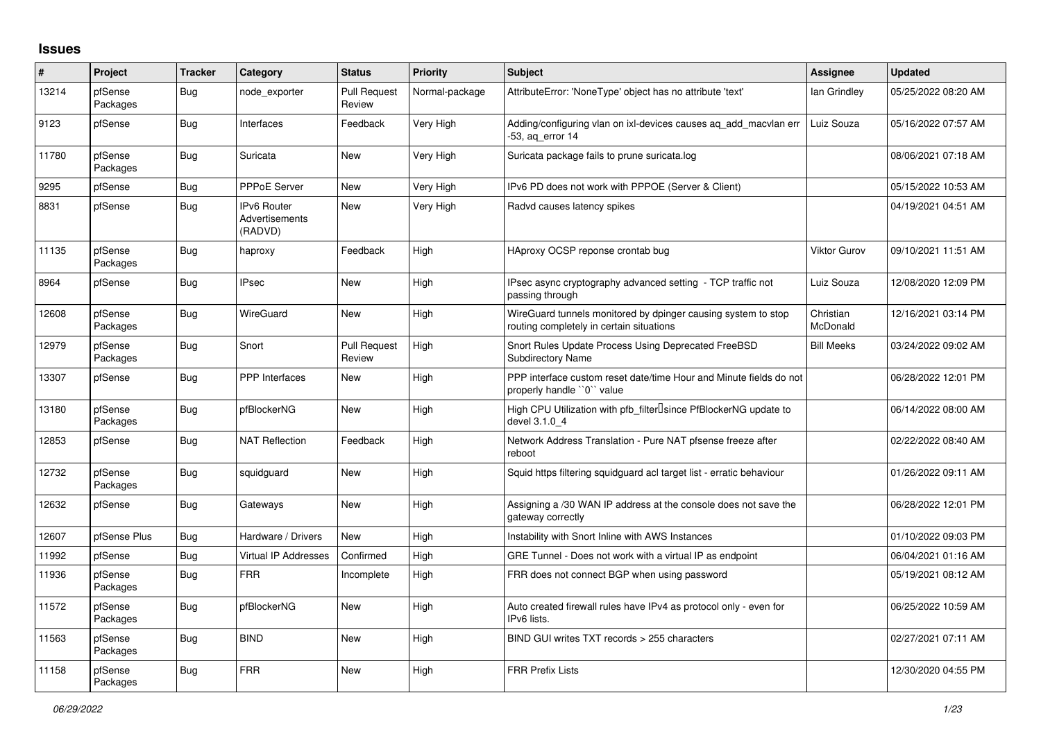## **Issues**

| #     | Project             | <b>Tracker</b> | Category                                        | <b>Status</b>                 | <b>Priority</b> | <b>Subject</b>                                                                                            | <b>Assignee</b>       | <b>Updated</b>      |
|-------|---------------------|----------------|-------------------------------------------------|-------------------------------|-----------------|-----------------------------------------------------------------------------------------------------------|-----------------------|---------------------|
| 13214 | pfSense<br>Packages | <b>Bug</b>     | node exporter                                   | <b>Pull Request</b><br>Review | Normal-package  | AttributeError: 'NoneType' object has no attribute 'text'                                                 | lan Grindley          | 05/25/2022 08:20 AM |
| 9123  | pfSense             | <b>Bug</b>     | Interfaces                                      | Feedback                      | Very High       | Adding/configuring vlan on ixl-devices causes ag add macvlan err<br>-53, ag error 14                      | Luiz Souza            | 05/16/2022 07:57 AM |
| 11780 | pfSense<br>Packages | Bug            | Suricata                                        | New                           | Very High       | Suricata package fails to prune suricata.log                                                              |                       | 08/06/2021 07:18 AM |
| 9295  | pfSense             | <b>Bug</b>     | <b>PPPoE Server</b>                             | <b>New</b>                    | Very High       | IPv6 PD does not work with PPPOE (Server & Client)                                                        |                       | 05/15/2022 10:53 AM |
| 8831  | pfSense             | <b>Bug</b>     | <b>IPv6 Router</b><br>Advertisements<br>(RADVD) | <b>New</b>                    | Very High       | Radvd causes latency spikes                                                                               |                       | 04/19/2021 04:51 AM |
| 11135 | pfSense<br>Packages | Bug            | haproxy                                         | Feedback                      | High            | HAproxy OCSP reponse crontab bug                                                                          | <b>Viktor Gurov</b>   | 09/10/2021 11:51 AM |
| 8964  | pfSense             | <b>Bug</b>     | <b>IPsec</b>                                    | New                           | High            | IPsec async cryptography advanced setting - TCP traffic not<br>passing through                            | Luiz Souza            | 12/08/2020 12:09 PM |
| 12608 | pfSense<br>Packages | <b>Bug</b>     | WireGuard                                       | New                           | High            | WireGuard tunnels monitored by dpinger causing system to stop<br>routing completely in certain situations | Christian<br>McDonald | 12/16/2021 03:14 PM |
| 12979 | pfSense<br>Packages | Bug            | Snort                                           | <b>Pull Request</b><br>Review | High            | Snort Rules Update Process Using Deprecated FreeBSD<br><b>Subdirectory Name</b>                           | <b>Bill Meeks</b>     | 03/24/2022 09:02 AM |
| 13307 | pfSense             | <b>Bug</b>     | <b>PPP</b> Interfaces                           | <b>New</b>                    | High            | PPP interface custom reset date/time Hour and Minute fields do not<br>properly handle "0" value           |                       | 06/28/2022 12:01 PM |
| 13180 | pfSense<br>Packages | <b>Bug</b>     | pfBlockerNG                                     | <b>New</b>                    | High            | High CPU Utilization with pfb_filter <sup>[]</sup> since PfBlockerNG update to<br>devel 3.1.0 4           |                       | 06/14/2022 08:00 AM |
| 12853 | pfSense             | <b>Bug</b>     | <b>NAT Reflection</b>                           | Feedback                      | High            | Network Address Translation - Pure NAT pfsense freeze after<br>reboot                                     |                       | 02/22/2022 08:40 AM |
| 12732 | pfSense<br>Packages | Bug            | squidguard                                      | <b>New</b>                    | High            | Squid https filtering squidguard acl target list - erratic behaviour                                      |                       | 01/26/2022 09:11 AM |
| 12632 | pfSense             | <b>Bug</b>     | Gateways                                        | <b>New</b>                    | High            | Assigning a /30 WAN IP address at the console does not save the<br>gateway correctly                      |                       | 06/28/2022 12:01 PM |
| 12607 | pfSense Plus        | <b>Bug</b>     | Hardware / Drivers                              | <b>New</b>                    | High            | Instability with Snort Inline with AWS Instances                                                          |                       | 01/10/2022 09:03 PM |
| 11992 | pfSense             | Bug            | <b>Virtual IP Addresses</b>                     | Confirmed                     | High            | GRE Tunnel - Does not work with a virtual IP as endpoint                                                  |                       | 06/04/2021 01:16 AM |
| 11936 | pfSense<br>Packages | <b>Bug</b>     | <b>FRR</b>                                      | Incomplete                    | High            | FRR does not connect BGP when using password                                                              |                       | 05/19/2021 08:12 AM |
| 11572 | pfSense<br>Packages | <b>Bug</b>     | pfBlockerNG                                     | <b>New</b>                    | High            | Auto created firewall rules have IPv4 as protocol only - even for<br>IPv6 lists.                          |                       | 06/25/2022 10:59 AM |
| 11563 | pfSense<br>Packages | Bug            | <b>BIND</b>                                     | <b>New</b>                    | High            | BIND GUI writes TXT records > 255 characters                                                              |                       | 02/27/2021 07:11 AM |
| 11158 | pfSense<br>Packages | <b>Bug</b>     | <b>FRR</b>                                      | <b>New</b>                    | High            | <b>FRR Prefix Lists</b>                                                                                   |                       | 12/30/2020 04:55 PM |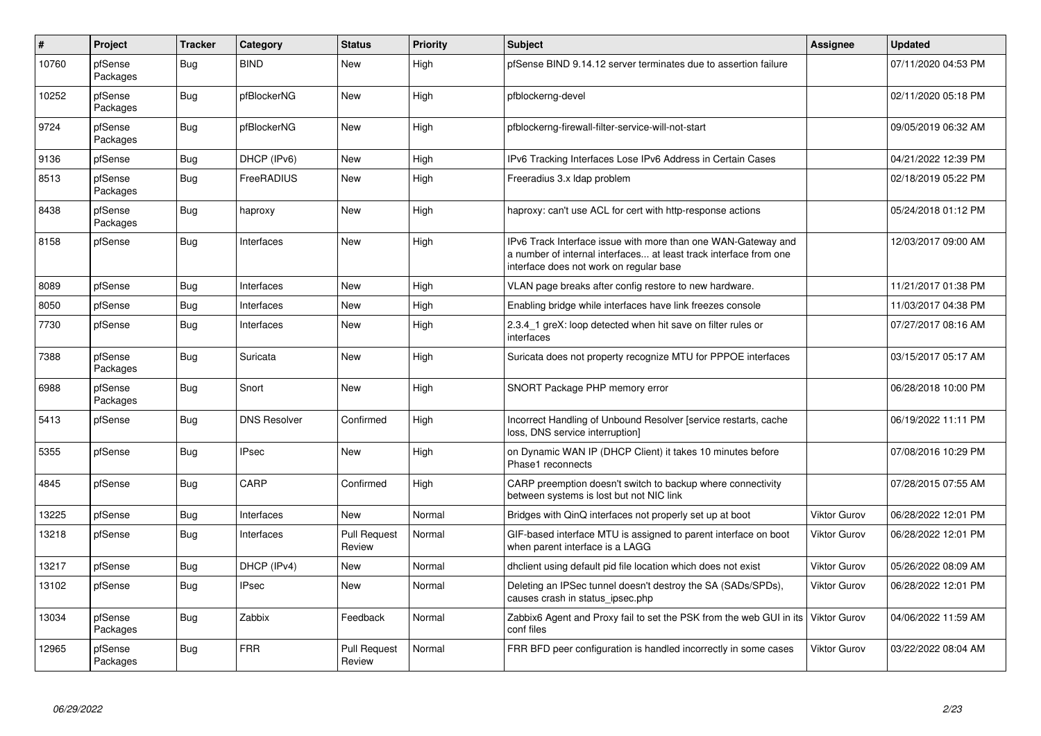| $\vert$ # | Project             | <b>Tracker</b> | Category            | <b>Status</b>                 | <b>Priority</b> | <b>Subject</b>                                                                                                                                                                | <b>Assignee</b>     | <b>Updated</b>      |
|-----------|---------------------|----------------|---------------------|-------------------------------|-----------------|-------------------------------------------------------------------------------------------------------------------------------------------------------------------------------|---------------------|---------------------|
| 10760     | pfSense<br>Packages | Bug            | <b>BIND</b>         | New                           | High            | pfSense BIND 9.14.12 server terminates due to assertion failure                                                                                                               |                     | 07/11/2020 04:53 PM |
| 10252     | pfSense<br>Packages | <b>Bug</b>     | pfBlockerNG         | New                           | High            | pfblockerng-devel                                                                                                                                                             |                     | 02/11/2020 05:18 PM |
| 9724      | pfSense<br>Packages | <b>Bug</b>     | pfBlockerNG         | New                           | High            | pfblockerng-firewall-filter-service-will-not-start                                                                                                                            |                     | 09/05/2019 06:32 AM |
| 9136      | pfSense             | <b>Bug</b>     | DHCP (IPv6)         | <b>New</b>                    | High            | IPv6 Tracking Interfaces Lose IPv6 Address in Certain Cases                                                                                                                   |                     | 04/21/2022 12:39 PM |
| 8513      | pfSense<br>Packages | Bug            | FreeRADIUS          | New                           | High            | Freeradius 3.x Idap problem                                                                                                                                                   |                     | 02/18/2019 05:22 PM |
| 8438      | pfSense<br>Packages | Bug            | haproxy             | New                           | High            | haproxy: can't use ACL for cert with http-response actions                                                                                                                    |                     | 05/24/2018 01:12 PM |
| 8158      | pfSense             | <b>Bug</b>     | Interfaces          | <b>New</b>                    | High            | IPv6 Track Interface issue with more than one WAN-Gateway and<br>a number of internal interfaces at least track interface from one<br>interface does not work on regular base |                     | 12/03/2017 09:00 AM |
| 8089      | pfSense             | <b>Bug</b>     | Interfaces          | New                           | High            | VLAN page breaks after config restore to new hardware.                                                                                                                        |                     | 11/21/2017 01:38 PM |
| 8050      | pfSense             | <b>Bug</b>     | Interfaces          | <b>New</b>                    | High            | Enabling bridge while interfaces have link freezes console                                                                                                                    |                     | 11/03/2017 04:38 PM |
| 7730      | pfSense             | <b>Bug</b>     | Interfaces          | New                           | High            | 2.3.4 1 greX: loop detected when hit save on filter rules or<br>interfaces                                                                                                    |                     | 07/27/2017 08:16 AM |
| 7388      | pfSense<br>Packages | <b>Bug</b>     | Suricata            | <b>New</b>                    | High            | Suricata does not property recognize MTU for PPPOE interfaces                                                                                                                 |                     | 03/15/2017 05:17 AM |
| 6988      | pfSense<br>Packages | <b>Bug</b>     | Snort               | <b>New</b>                    | High            | SNORT Package PHP memory error                                                                                                                                                |                     | 06/28/2018 10:00 PM |
| 5413      | pfSense             | <b>Bug</b>     | <b>DNS Resolver</b> | Confirmed                     | High            | Incorrect Handling of Unbound Resolver [service restarts, cache<br>loss, DNS service interruption]                                                                            |                     | 06/19/2022 11:11 PM |
| 5355      | pfSense             | <b>Bug</b>     | <b>IPsec</b>        | <b>New</b>                    | High            | on Dynamic WAN IP (DHCP Client) it takes 10 minutes before<br>Phase1 reconnects                                                                                               |                     | 07/08/2016 10:29 PM |
| 4845      | pfSense             | Bug            | CARP                | Confirmed                     | High            | CARP preemption doesn't switch to backup where connectivity<br>between systems is lost but not NIC link                                                                       |                     | 07/28/2015 07:55 AM |
| 13225     | pfSense             | <b>Bug</b>     | Interfaces          | New                           | Normal          | Bridges with QinQ interfaces not properly set up at boot                                                                                                                      | <b>Viktor Gurov</b> | 06/28/2022 12:01 PM |
| 13218     | pfSense             | <b>Bug</b>     | Interfaces          | <b>Pull Request</b><br>Review | Normal          | GIF-based interface MTU is assigned to parent interface on boot<br>when parent interface is a LAGG                                                                            | <b>Viktor Gurov</b> | 06/28/2022 12:01 PM |
| 13217     | pfSense             | <b>Bug</b>     | DHCP (IPv4)         | New                           | Normal          | dhclient using default pid file location which does not exist                                                                                                                 | <b>Viktor Gurov</b> | 05/26/2022 08:09 AM |
| 13102     | pfSense             | <b>Bug</b>     | <b>IPsec</b>        | New                           | Normal          | Deleting an IPSec tunnel doesn't destroy the SA (SADs/SPDs),<br>causes crash in status ipsec.php                                                                              | <b>Viktor Gurov</b> | 06/28/2022 12:01 PM |
| 13034     | pfSense<br>Packages | <b>Bug</b>     | Zabbix              | Feedback                      | Normal          | Zabbix6 Agent and Proxy fail to set the PSK from the web GUI in its<br>conf files                                                                                             | <b>Viktor Gurov</b> | 04/06/2022 11:59 AM |
| 12965     | pfSense<br>Packages | <b>Bug</b>     | <b>FRR</b>          | <b>Pull Request</b><br>Review | Normal          | FRR BFD peer configuration is handled incorrectly in some cases                                                                                                               | Viktor Gurov        | 03/22/2022 08:04 AM |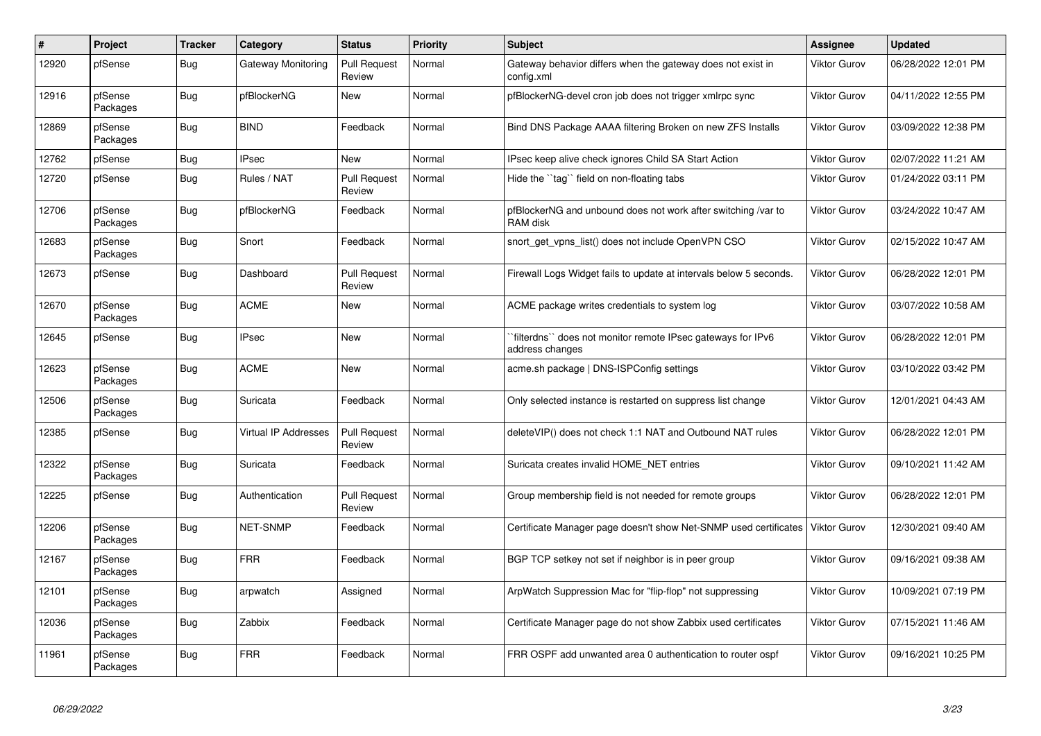| #     | Project             | <b>Tracker</b> | Category                    | <b>Status</b>                 | Priority | <b>Subject</b>                                                                | <b>Assignee</b>     | <b>Updated</b>      |
|-------|---------------------|----------------|-----------------------------|-------------------------------|----------|-------------------------------------------------------------------------------|---------------------|---------------------|
| 12920 | pfSense             | Bug            | Gateway Monitoring          | <b>Pull Request</b><br>Review | Normal   | Gateway behavior differs when the gateway does not exist in<br>config.xml     | <b>Viktor Gurov</b> | 06/28/2022 12:01 PM |
| 12916 | pfSense<br>Packages | <b>Bug</b>     | pfBlockerNG                 | New                           | Normal   | pfBlockerNG-devel cron job does not trigger xmlrpc sync                       | <b>Viktor Gurov</b> | 04/11/2022 12:55 PM |
| 12869 | pfSense<br>Packages | <b>Bug</b>     | <b>BIND</b>                 | Feedback                      | Normal   | Bind DNS Package AAAA filtering Broken on new ZFS Installs                    | <b>Viktor Gurov</b> | 03/09/2022 12:38 PM |
| 12762 | pfSense             | <b>Bug</b>     | <b>IPsec</b>                | <b>New</b>                    | Normal   | IPsec keep alive check ignores Child SA Start Action                          | <b>Viktor Gurov</b> | 02/07/2022 11:21 AM |
| 12720 | pfSense             | <b>Bug</b>     | Rules / NAT                 | <b>Pull Request</b><br>Review | Normal   | Hide the "tag" field on non-floating tabs                                     | <b>Viktor Gurov</b> | 01/24/2022 03:11 PM |
| 12706 | pfSense<br>Packages | <b>Bug</b>     | pfBlockerNG                 | Feedback                      | Normal   | pfBlockerNG and unbound does not work after switching /var to<br>RAM disk     | Viktor Gurov        | 03/24/2022 10:47 AM |
| 12683 | pfSense<br>Packages | <b>Bug</b>     | Snort                       | Feedback                      | Normal   | snort get vpns list() does not include OpenVPN CSO                            | Viktor Gurov        | 02/15/2022 10:47 AM |
| 12673 | pfSense             | <b>Bug</b>     | Dashboard                   | <b>Pull Request</b><br>Review | Normal   | Firewall Logs Widget fails to update at intervals below 5 seconds.            | Viktor Gurov        | 06/28/2022 12:01 PM |
| 12670 | pfSense<br>Packages | Bug            | <b>ACME</b>                 | New                           | Normal   | ACME package writes credentials to system log                                 | <b>Viktor Gurov</b> | 03/07/2022 10:58 AM |
| 12645 | pfSense             | <b>Bug</b>     | <b>IPsec</b>                | New                           | Normal   | filterdns" does not monitor remote IPsec gateways for IPv6<br>address changes | <b>Viktor Gurov</b> | 06/28/2022 12:01 PM |
| 12623 | pfSense<br>Packages | Bug            | <b>ACME</b>                 | <b>New</b>                    | Normal   | acme.sh package   DNS-ISPConfig settings                                      | Viktor Gurov        | 03/10/2022 03:42 PM |
| 12506 | pfSense<br>Packages | <b>Bug</b>     | Suricata                    | Feedback                      | Normal   | Only selected instance is restarted on suppress list change                   | <b>Viktor Gurov</b> | 12/01/2021 04:43 AM |
| 12385 | pfSense             | <b>Bug</b>     | <b>Virtual IP Addresses</b> | <b>Pull Request</b><br>Review | Normal   | deleteVIP() does not check 1:1 NAT and Outbound NAT rules                     | <b>Viktor Gurov</b> | 06/28/2022 12:01 PM |
| 12322 | pfSense<br>Packages | Bug            | Suricata                    | Feedback                      | Normal   | Suricata creates invalid HOME NET entries                                     | Viktor Gurov        | 09/10/2021 11:42 AM |
| 12225 | pfSense             | Bug            | Authentication              | <b>Pull Request</b><br>Review | Normal   | Group membership field is not needed for remote groups                        | <b>Viktor Gurov</b> | 06/28/2022 12:01 PM |
| 12206 | pfSense<br>Packages | <b>Bug</b>     | <b>NET-SNMP</b>             | Feedback                      | Normal   | Certificate Manager page doesn't show Net-SNMP used certificates              | <b>Viktor Gurov</b> | 12/30/2021 09:40 AM |
| 12167 | pfSense<br>Packages | <b>Bug</b>     | <b>FRR</b>                  | Feedback                      | Normal   | BGP TCP setkey not set if neighbor is in peer group                           | <b>Viktor Gurov</b> | 09/16/2021 09:38 AM |
| 12101 | pfSense<br>Packages | Bug            | arpwatch                    | Assigned                      | Normal   | ArpWatch Suppression Mac for "flip-flop" not suppressing                      | <b>Viktor Gurov</b> | 10/09/2021 07:19 PM |
| 12036 | pfSense<br>Packages | <b>Bug</b>     | Zabbix                      | Feedback                      | Normal   | Certificate Manager page do not show Zabbix used certificates                 | <b>Viktor Gurov</b> | 07/15/2021 11:46 AM |
| 11961 | pfSense<br>Packages | Bug            | <b>FRR</b>                  | Feedback                      | Normal   | FRR OSPF add unwanted area 0 authentication to router ospf                    | Viktor Gurov        | 09/16/2021 10:25 PM |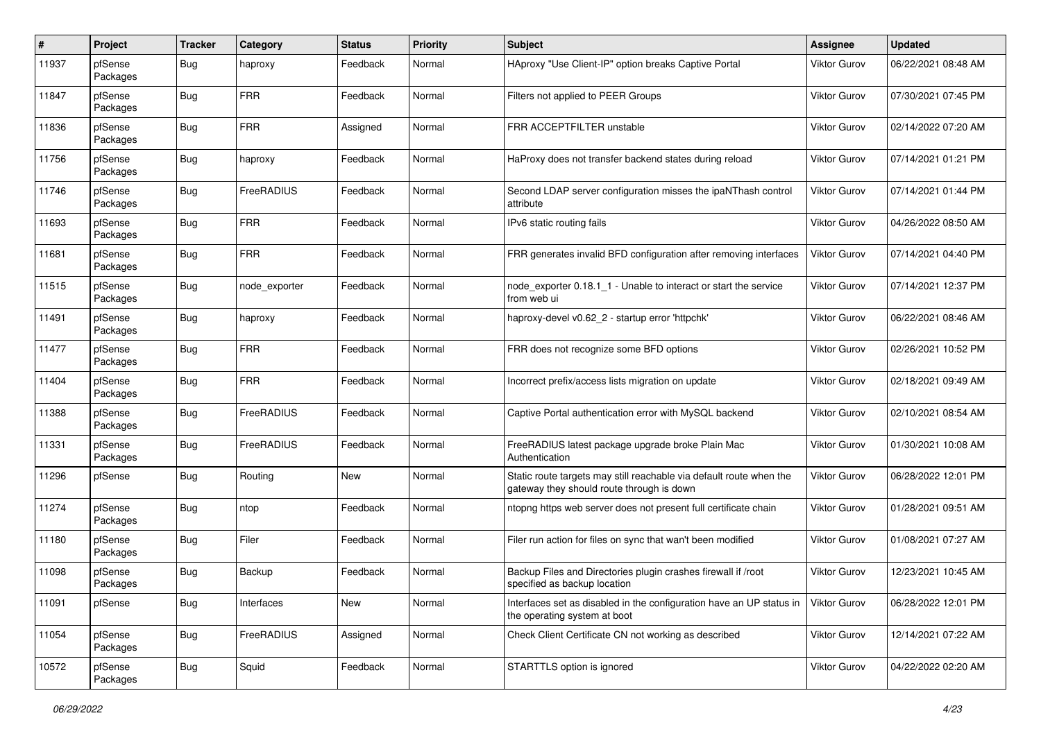| $\pmb{\#}$ | Project             | <b>Tracker</b> | Category      | <b>Status</b> | <b>Priority</b> | Subject                                                                                                          | <b>Assignee</b>     | <b>Updated</b>      |
|------------|---------------------|----------------|---------------|---------------|-----------------|------------------------------------------------------------------------------------------------------------------|---------------------|---------------------|
| 11937      | pfSense<br>Packages | Bug            | haproxy       | Feedback      | Normal          | HAproxy "Use Client-IP" option breaks Captive Portal                                                             | Viktor Gurov        | 06/22/2021 08:48 AM |
| 11847      | pfSense<br>Packages | Bug            | <b>FRR</b>    | Feedback      | Normal          | Filters not applied to PEER Groups                                                                               | Viktor Gurov        | 07/30/2021 07:45 PM |
| 11836      | pfSense<br>Packages | <b>Bug</b>     | <b>FRR</b>    | Assigned      | Normal          | FRR ACCEPTFILTER unstable                                                                                        | Viktor Gurov        | 02/14/2022 07:20 AM |
| 11756      | pfSense<br>Packages | Bug            | haproxy       | Feedback      | Normal          | HaProxy does not transfer backend states during reload                                                           | Viktor Gurov        | 07/14/2021 01:21 PM |
| 11746      | pfSense<br>Packages | Bug            | FreeRADIUS    | Feedback      | Normal          | Second LDAP server configuration misses the ipaNThash control<br>attribute                                       | Viktor Gurov        | 07/14/2021 01:44 PM |
| 11693      | pfSense<br>Packages | Bug            | <b>FRR</b>    | Feedback      | Normal          | IPv6 static routing fails                                                                                        | Viktor Gurov        | 04/26/2022 08:50 AM |
| 11681      | pfSense<br>Packages | Bug            | <b>FRR</b>    | Feedback      | Normal          | FRR generates invalid BFD configuration after removing interfaces                                                | <b>Viktor Gurov</b> | 07/14/2021 04:40 PM |
| 11515      | pfSense<br>Packages | Bug            | node exporter | Feedback      | Normal          | node_exporter 0.18.1_1 - Unable to interact or start the service<br>from web ui                                  | <b>Viktor Gurov</b> | 07/14/2021 12:37 PM |
| 11491      | pfSense<br>Packages | Bug            | haproxy       | Feedback      | Normal          | haproxy-devel v0.62 2 - startup error 'httpchk'                                                                  | <b>Viktor Gurov</b> | 06/22/2021 08:46 AM |
| 11477      | pfSense<br>Packages | Bug            | <b>FRR</b>    | Feedback      | Normal          | FRR does not recognize some BFD options                                                                          | Viktor Gurov        | 02/26/2021 10:52 PM |
| 11404      | pfSense<br>Packages | Bug            | <b>FRR</b>    | Feedback      | Normal          | Incorrect prefix/access lists migration on update                                                                | Viktor Gurov        | 02/18/2021 09:49 AM |
| 11388      | pfSense<br>Packages | Bug            | FreeRADIUS    | Feedback      | Normal          | Captive Portal authentication error with MySQL backend                                                           | <b>Viktor Gurov</b> | 02/10/2021 08:54 AM |
| 11331      | pfSense<br>Packages | Bug            | FreeRADIUS    | Feedback      | Normal          | FreeRADIUS latest package upgrade broke Plain Mac<br>Authentication                                              | Viktor Gurov        | 01/30/2021 10:08 AM |
| 11296      | pfSense             | Bug            | Routing       | <b>New</b>    | Normal          | Static route targets may still reachable via default route when the<br>gateway they should route through is down | Viktor Gurov        | 06/28/2022 12:01 PM |
| 11274      | pfSense<br>Packages | Bug            | ntop          | Feedback      | Normal          | ntopng https web server does not present full certificate chain                                                  | <b>Viktor Gurov</b> | 01/28/2021 09:51 AM |
| 11180      | pfSense<br>Packages | Bug            | Filer         | Feedback      | Normal          | Filer run action for files on sync that wan't been modified                                                      | Viktor Gurov        | 01/08/2021 07:27 AM |
| 11098      | pfSense<br>Packages | <b>Bug</b>     | Backup        | Feedback      | Normal          | Backup Files and Directories plugin crashes firewall if /root<br>specified as backup location                    | <b>Viktor Gurov</b> | 12/23/2021 10:45 AM |
| 11091      | pfSense             | <b>Bug</b>     | Interfaces    | New           | Normal          | Interfaces set as disabled in the configuration have an UP status in<br>the operating system at boot             | Viktor Gurov        | 06/28/2022 12:01 PM |
| 11054      | pfSense<br>Packages | <b>Bug</b>     | FreeRADIUS    | Assigned      | Normal          | Check Client Certificate CN not working as described                                                             | Viktor Gurov        | 12/14/2021 07:22 AM |
| 10572      | pfSense<br>Packages | <b>Bug</b>     | Squid         | Feedback      | Normal          | STARTTLS option is ignored                                                                                       | Viktor Gurov        | 04/22/2022 02:20 AM |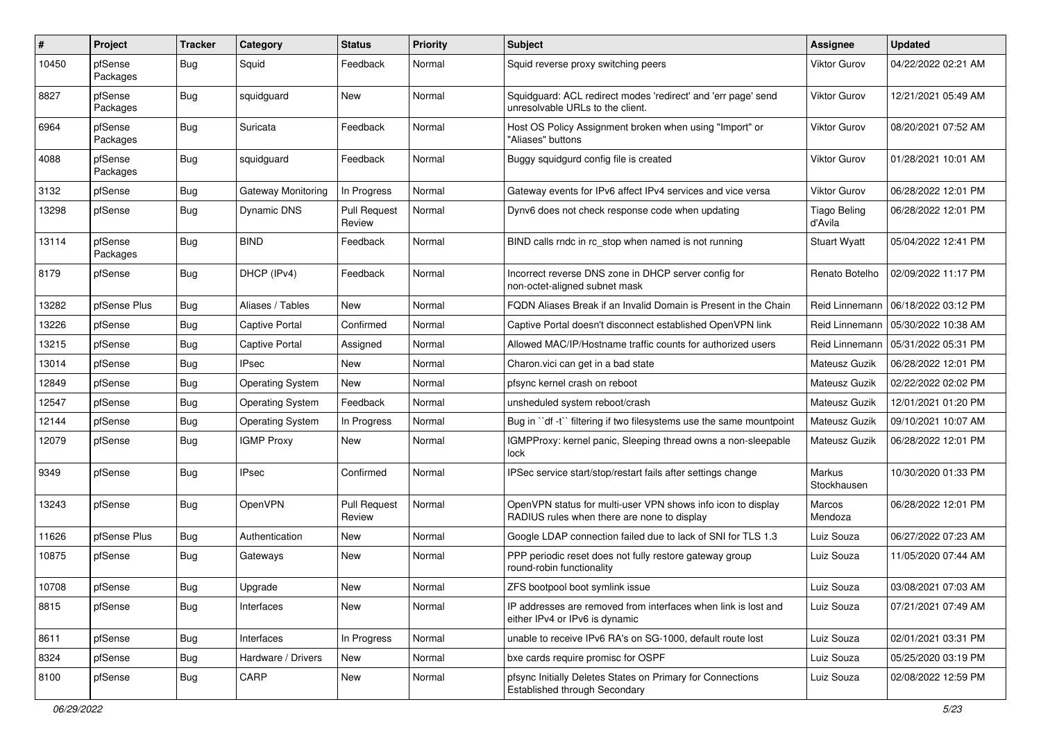| #     | Project             | <b>Tracker</b> | Category                | <b>Status</b>                 | <b>Priority</b> | <b>Subject</b>                                                                                              | <b>Assignee</b>                | <b>Updated</b>      |
|-------|---------------------|----------------|-------------------------|-------------------------------|-----------------|-------------------------------------------------------------------------------------------------------------|--------------------------------|---------------------|
| 10450 | pfSense<br>Packages | Bug            | Squid                   | Feedback                      | Normal          | Squid reverse proxy switching peers                                                                         | Viktor Gurov                   | 04/22/2022 02:21 AM |
| 8827  | pfSense<br>Packages | Bug            | squidguard              | New                           | Normal          | Squidguard: ACL redirect modes 'redirect' and 'err page' send<br>unresolvable URLs to the client.           | Viktor Gurov                   | 12/21/2021 05:49 AM |
| 6964  | pfSense<br>Packages | Bug            | Suricata                | Feedback                      | Normal          | Host OS Policy Assignment broken when using "Import" or<br>"Aliases" buttons                                | Viktor Gurov                   | 08/20/2021 07:52 AM |
| 4088  | pfSense<br>Packages | Bug            | squidguard              | Feedback                      | Normal          | Buggy squidgurd config file is created                                                                      | Viktor Gurov                   | 01/28/2021 10:01 AM |
| 3132  | pfSense             | Bug            | Gateway Monitoring      | In Progress                   | Normal          | Gateway events for IPv6 affect IPv4 services and vice versa                                                 | Viktor Gurov                   | 06/28/2022 12:01 PM |
| 13298 | pfSense             | Bug            | Dynamic DNS             | <b>Pull Request</b><br>Review | Normal          | Dynv6 does not check response code when updating                                                            | <b>Tiago Beling</b><br>d'Avila | 06/28/2022 12:01 PM |
| 13114 | pfSense<br>Packages | Bug            | <b>BIND</b>             | Feedback                      | Normal          | BIND calls rndc in rc_stop when named is not running                                                        | <b>Stuart Wyatt</b>            | 05/04/2022 12:41 PM |
| 8179  | pfSense             | Bug            | DHCP (IPv4)             | Feedback                      | Normal          | Incorrect reverse DNS zone in DHCP server config for<br>non-octet-aligned subnet mask                       | Renato Botelho                 | 02/09/2022 11:17 PM |
| 13282 | pfSense Plus        | Bug            | Aliases / Tables        | New                           | Normal          | FQDN Aliases Break if an Invalid Domain is Present in the Chain                                             | Reid Linnemann                 | 06/18/2022 03:12 PM |
| 13226 | pfSense             | Bug            | Captive Portal          | Confirmed                     | Normal          | Captive Portal doesn't disconnect established OpenVPN link                                                  | Reid Linnemann                 | 05/30/2022 10:38 AM |
| 13215 | pfSense             | Bug            | <b>Captive Portal</b>   | Assigned                      | Normal          | Allowed MAC/IP/Hostname traffic counts for authorized users                                                 | Reid Linnemann                 | 05/31/2022 05:31 PM |
| 13014 | pfSense             | Bug            | <b>IPsec</b>            | New                           | Normal          | Charon.vici can get in a bad state                                                                          | Mateusz Guzik                  | 06/28/2022 12:01 PM |
| 12849 | pfSense             | Bug            | <b>Operating System</b> | New                           | Normal          | pfsync kernel crash on reboot                                                                               | Mateusz Guzik                  | 02/22/2022 02:02 PM |
| 12547 | pfSense             | Bug            | <b>Operating System</b> | Feedback                      | Normal          | unsheduled system reboot/crash                                                                              | Mateusz Guzik                  | 12/01/2021 01:20 PM |
| 12144 | pfSense             | Bug            | <b>Operating System</b> | In Progress                   | Normal          | Bug in "df -t" filtering if two filesystems use the same mountpoint                                         | Mateusz Guzik                  | 09/10/2021 10:07 AM |
| 12079 | pfSense             | Bug            | <b>IGMP Proxy</b>       | New                           | Normal          | IGMPProxy: kernel panic, Sleeping thread owns a non-sleepable<br>lock                                       | Mateusz Guzik                  | 06/28/2022 12:01 PM |
| 9349  | pfSense             | Bug            | <b>IPsec</b>            | Confirmed                     | Normal          | IPSec service start/stop/restart fails after settings change                                                | Markus<br>Stockhausen          | 10/30/2020 01:33 PM |
| 13243 | pfSense             | Bug            | OpenVPN                 | <b>Pull Request</b><br>Review | Normal          | OpenVPN status for multi-user VPN shows info icon to display<br>RADIUS rules when there are none to display | Marcos<br>Mendoza              | 06/28/2022 12:01 PM |
| 11626 | pfSense Plus        | Bug            | Authentication          | New                           | Normal          | Google LDAP connection failed due to lack of SNI for TLS 1.3                                                | Luiz Souza                     | 06/27/2022 07:23 AM |
| 10875 | pfSense             | Bug            | Gateways                | New                           | Normal          | PPP periodic reset does not fully restore gateway group<br>round-robin functionality                        | Luiz Souza                     | 11/05/2020 07:44 AM |
| 10708 | pfSense             | Bug            | Upgrade                 | New                           | Normal          | ZFS bootpool boot symlink issue                                                                             | Luiz Souza                     | 03/08/2021 07:03 AM |
| 8815  | pfSense             | Bug            | Interfaces              | New                           | Normal          | IP addresses are removed from interfaces when link is lost and<br>either IPv4 or IPv6 is dynamic            | Luiz Souza                     | 07/21/2021 07:49 AM |
| 8611  | pfSense             | Bug            | Interfaces              | In Progress                   | Normal          | unable to receive IPv6 RA's on SG-1000, default route lost                                                  | Luiz Souza                     | 02/01/2021 03:31 PM |
| 8324  | pfSense             | <b>Bug</b>     | Hardware / Drivers      | New                           | Normal          | bxe cards require promisc for OSPF                                                                          | Luiz Souza                     | 05/25/2020 03:19 PM |
| 8100  | pfSense             | <b>Bug</b>     | CARP                    | New                           | Normal          | pfsync Initially Deletes States on Primary for Connections<br>Established through Secondary                 | Luiz Souza                     | 02/08/2022 12:59 PM |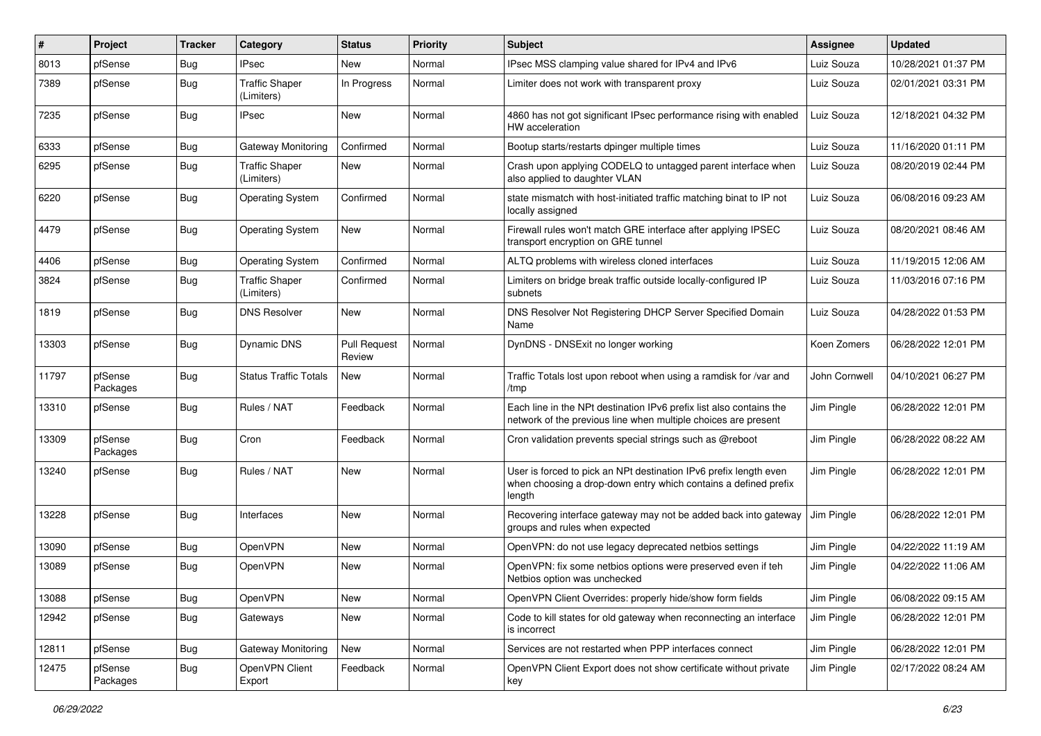| ∦     | Project             | <b>Tracker</b> | Category                            | <b>Status</b>                 | Priority | <b>Subject</b>                                                                                                                                 | <b>Assignee</b> | <b>Updated</b>      |
|-------|---------------------|----------------|-------------------------------------|-------------------------------|----------|------------------------------------------------------------------------------------------------------------------------------------------------|-----------------|---------------------|
| 8013  | pfSense             | <b>Bug</b>     | IPsec                               | New                           | Normal   | IPsec MSS clamping value shared for IPv4 and IPv6                                                                                              | Luiz Souza      | 10/28/2021 01:37 PM |
| 7389  | pfSense             | <b>Bug</b>     | <b>Traffic Shaper</b><br>(Limiters) | In Progress                   | Normal   | Limiter does not work with transparent proxy                                                                                                   | Luiz Souza      | 02/01/2021 03:31 PM |
| 7235  | pfSense             | <b>Bug</b>     | <b>IPsec</b>                        | <b>New</b>                    | Normal   | 4860 has not got significant IPsec performance rising with enabled<br>HW acceleration                                                          | Luiz Souza      | 12/18/2021 04:32 PM |
| 6333  | pfSense             | <b>Bug</b>     | Gateway Monitoring                  | Confirmed                     | Normal   | Bootup starts/restarts dpinger multiple times                                                                                                  | Luiz Souza      | 11/16/2020 01:11 PM |
| 6295  | pfSense             | <b>Bug</b>     | <b>Traffic Shaper</b><br>(Limiters) | New                           | Normal   | Crash upon applying CODELQ to untagged parent interface when<br>also applied to daughter VLAN                                                  | Luiz Souza      | 08/20/2019 02:44 PM |
| 6220  | pfSense             | <b>Bug</b>     | <b>Operating System</b>             | Confirmed                     | Normal   | state mismatch with host-initiated traffic matching binat to IP not<br>locally assigned                                                        | Luiz Souza      | 06/08/2016 09:23 AM |
| 4479  | pfSense             | <b>Bug</b>     | <b>Operating System</b>             | <b>New</b>                    | Normal   | Firewall rules won't match GRE interface after applying IPSEC<br>transport encryption on GRE tunnel                                            | Luiz Souza      | 08/20/2021 08:46 AM |
| 4406  | pfSense             | <b>Bug</b>     | <b>Operating System</b>             | Confirmed                     | Normal   | ALTQ problems with wireless cloned interfaces                                                                                                  | Luiz Souza      | 11/19/2015 12:06 AM |
| 3824  | pfSense             | Bug            | <b>Traffic Shaper</b><br>(Limiters) | Confirmed                     | Normal   | Limiters on bridge break traffic outside locally-configured IP<br>subnets                                                                      | Luiz Souza      | 11/03/2016 07:16 PM |
| 1819  | pfSense             | <b>Bug</b>     | <b>DNS Resolver</b>                 | New                           | Normal   | DNS Resolver Not Registering DHCP Server Specified Domain<br>Name                                                                              | Luiz Souza      | 04/28/2022 01:53 PM |
| 13303 | pfSense             | Bug            | Dynamic DNS                         | <b>Pull Request</b><br>Review | Normal   | DynDNS - DNSExit no longer working                                                                                                             | Koen Zomers     | 06/28/2022 12:01 PM |
| 11797 | pfSense<br>Packages | <b>Bug</b>     | Status Traffic Totals               | New                           | Normal   | Traffic Totals lost upon reboot when using a ramdisk for /var and<br>/tmp                                                                      | John Cornwell   | 04/10/2021 06:27 PM |
| 13310 | pfSense             | <b>Bug</b>     | Rules / NAT                         | Feedback                      | Normal   | Each line in the NPt destination IPv6 prefix list also contains the<br>network of the previous line when multiple choices are present          | Jim Pingle      | 06/28/2022 12:01 PM |
| 13309 | pfSense<br>Packages | <b>Bug</b>     | Cron                                | Feedback                      | Normal   | Cron validation prevents special strings such as @reboot                                                                                       | Jim Pingle      | 06/28/2022 08:22 AM |
| 13240 | pfSense             | Bug            | Rules / NAT                         | <b>New</b>                    | Normal   | User is forced to pick an NPt destination IPv6 prefix length even<br>when choosing a drop-down entry which contains a defined prefix<br>length | Jim Pingle      | 06/28/2022 12:01 PM |
| 13228 | pfSense             | <b>Bug</b>     | Interfaces                          | <b>New</b>                    | Normal   | Recovering interface gateway may not be added back into gateway<br>groups and rules when expected                                              | Jim Pingle      | 06/28/2022 12:01 PM |
| 13090 | pfSense             | <b>Bug</b>     | OpenVPN                             | New                           | Normal   | OpenVPN: do not use legacy deprecated netbios settings                                                                                         | Jim Pingle      | 04/22/2022 11:19 AM |
| 13089 | pfSense             | <b>Bug</b>     | OpenVPN                             | New                           | Normal   | OpenVPN: fix some netbios options were preserved even if teh<br>Netbios option was unchecked                                                   | Jim Pingle      | 04/22/2022 11:06 AM |
| 13088 | pfSense             | <b>Bug</b>     | OpenVPN                             | New                           | Normal   | OpenVPN Client Overrides: properly hide/show form fields                                                                                       | Jim Pingle      | 06/08/2022 09:15 AM |
| 12942 | pfSense             | <b>Bug</b>     | Gateways                            | New                           | Normal   | Code to kill states for old gateway when reconnecting an interface<br>is incorrect                                                             | Jim Pingle      | 06/28/2022 12:01 PM |
| 12811 | pfSense             | Bug            | Gateway Monitoring                  | New                           | Normal   | Services are not restarted when PPP interfaces connect                                                                                         | Jim Pingle      | 06/28/2022 12:01 PM |
| 12475 | pfSense<br>Packages | Bug            | OpenVPN Client<br>Export            | Feedback                      | Normal   | OpenVPN Client Export does not show certificate without private<br>key                                                                         | Jim Pingle      | 02/17/2022 08:24 AM |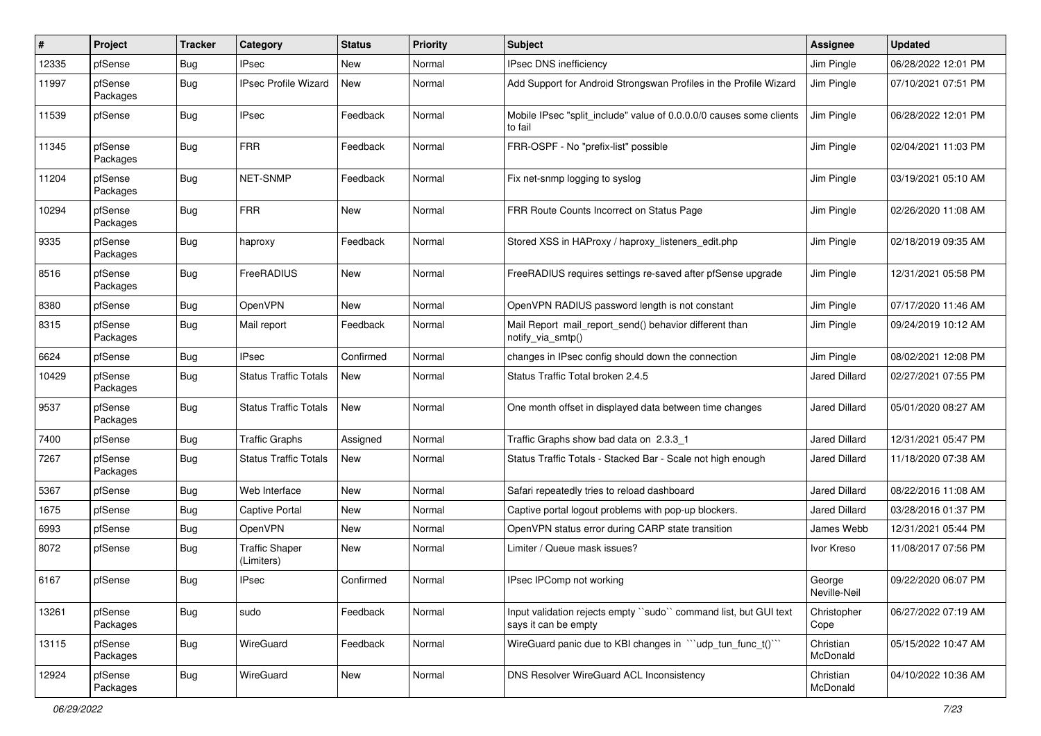| #     | Project             | <b>Tracker</b> | Category                            | <b>Status</b> | <b>Priority</b> | <b>Subject</b>                                                                           | <b>Assignee</b>        | <b>Updated</b>      |
|-------|---------------------|----------------|-------------------------------------|---------------|-----------------|------------------------------------------------------------------------------------------|------------------------|---------------------|
| 12335 | pfSense             | Bug            | <b>IPsec</b>                        | New           | Normal          | IPsec DNS inefficiency                                                                   | Jim Pingle             | 06/28/2022 12:01 PM |
| 11997 | pfSense<br>Packages | Bug            | <b>IPsec Profile Wizard</b>         | New           | Normal          | Add Support for Android Strongswan Profiles in the Profile Wizard                        | Jim Pingle             | 07/10/2021 07:51 PM |
| 11539 | pfSense             | <b>Bug</b>     | <b>IPsec</b>                        | Feedback      | Normal          | Mobile IPsec "split include" value of 0.0.0.0/0 causes some clients<br>to fail           | Jim Pingle             | 06/28/2022 12:01 PM |
| 11345 | pfSense<br>Packages | <b>Bug</b>     | <b>FRR</b>                          | Feedback      | Normal          | FRR-OSPF - No "prefix-list" possible                                                     | Jim Pingle             | 02/04/2021 11:03 PM |
| 11204 | pfSense<br>Packages | <b>Bug</b>     | NET-SNMP                            | Feedback      | Normal          | Fix net-snmp logging to syslog                                                           | Jim Pingle             | 03/19/2021 05:10 AM |
| 10294 | pfSense<br>Packages | <b>Bug</b>     | <b>FRR</b>                          | New           | Normal          | FRR Route Counts Incorrect on Status Page                                                | Jim Pingle             | 02/26/2020 11:08 AM |
| 9335  | pfSense<br>Packages | <b>Bug</b>     | haproxy                             | Feedback      | Normal          | Stored XSS in HAProxy / haproxy_listeners_edit.php                                       | Jim Pingle             | 02/18/2019 09:35 AM |
| 8516  | pfSense<br>Packages | <b>Bug</b>     | FreeRADIUS                          | New           | Normal          | FreeRADIUS requires settings re-saved after pfSense upgrade                              | Jim Pingle             | 12/31/2021 05:58 PM |
| 8380  | pfSense             | <b>Bug</b>     | OpenVPN                             | New           | Normal          | OpenVPN RADIUS password length is not constant                                           | Jim Pingle             | 07/17/2020 11:46 AM |
| 8315  | pfSense<br>Packages | <b>Bug</b>     | Mail report                         | Feedback      | Normal          | Mail Report mail report send() behavior different than<br>notify_via_smtp()              | Jim Pingle             | 09/24/2019 10:12 AM |
| 6624  | pfSense             | <b>Bug</b>     | <b>IPsec</b>                        | Confirmed     | Normal          | changes in IPsec config should down the connection                                       | Jim Pingle             | 08/02/2021 12:08 PM |
| 10429 | pfSense<br>Packages | Bug            | <b>Status Traffic Totals</b>        | New           | Normal          | Status Traffic Total broken 2.4.5                                                        | Jared Dillard          | 02/27/2021 07:55 PM |
| 9537  | pfSense<br>Packages | <b>Bug</b>     | <b>Status Traffic Totals</b>        | <b>New</b>    | Normal          | One month offset in displayed data between time changes                                  | Jared Dillard          | 05/01/2020 08:27 AM |
| 7400  | pfSense             | <b>Bug</b>     | <b>Traffic Graphs</b>               | Assigned      | Normal          | Traffic Graphs show bad data on 2.3.3 1                                                  | <b>Jared Dillard</b>   | 12/31/2021 05:47 PM |
| 7267  | pfSense<br>Packages | <b>Bug</b>     | <b>Status Traffic Totals</b>        | New           | Normal          | Status Traffic Totals - Stacked Bar - Scale not high enough                              | Jared Dillard          | 11/18/2020 07:38 AM |
| 5367  | pfSense             | <b>Bug</b>     | Web Interface                       | New           | Normal          | Safari repeatedly tries to reload dashboard                                              | Jared Dillard          | 08/22/2016 11:08 AM |
| 1675  | pfSense             | <b>Bug</b>     | Captive Portal                      | New           | Normal          | Captive portal logout problems with pop-up blockers.                                     | Jared Dillard          | 03/28/2016 01:37 PM |
| 6993  | pfSense             | <b>Bug</b>     | OpenVPN                             | New           | Normal          | OpenVPN status error during CARP state transition                                        | James Webb             | 12/31/2021 05:44 PM |
| 8072  | pfSense             | Bug            | <b>Traffic Shaper</b><br>(Limiters) | New           | Normal          | Limiter / Queue mask issues?                                                             | Ivor Kreso             | 11/08/2017 07:56 PM |
| 6167  | pfSense             | <b>Bug</b>     | <b>IPsec</b>                        | Confirmed     | Normal          | IPsec IPComp not working                                                                 | George<br>Neville-Neil | 09/22/2020 06:07 PM |
| 13261 | pfSense<br>Packages | <b>Bug</b>     | sudo                                | Feedback      | Normal          | Input validation rejects empty "sudo" command list, but GUI text<br>says it can be empty | Christopher<br>Cope    | 06/27/2022 07:19 AM |
| 13115 | pfSense<br>Packages | <b>Bug</b>     | WireGuard                           | Feedback      | Normal          | WireGuard panic due to KBI changes in "'udp tun func t()'"                               | Christian<br>McDonald  | 05/15/2022 10:47 AM |
| 12924 | pfSense<br>Packages | <b>Bug</b>     | WireGuard                           | New           | Normal          | DNS Resolver WireGuard ACL Inconsistency                                                 | Christian<br>McDonald  | 04/10/2022 10:36 AM |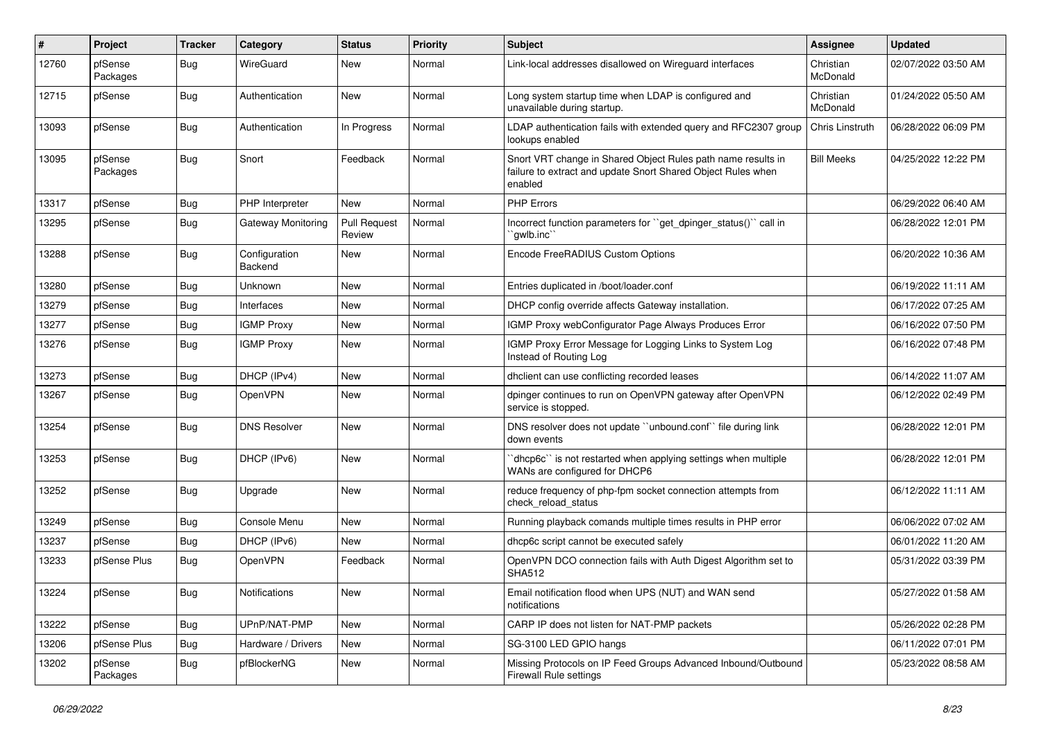| #     | Project             | <b>Tracker</b> | Category                 | <b>Status</b>                 | <b>Priority</b> | <b>Subject</b>                                                                                                                          | <b>Assignee</b>       | <b>Updated</b>      |
|-------|---------------------|----------------|--------------------------|-------------------------------|-----------------|-----------------------------------------------------------------------------------------------------------------------------------------|-----------------------|---------------------|
| 12760 | pfSense<br>Packages | <b>Bug</b>     | WireGuard                | New                           | Normal          | Link-local addresses disallowed on Wireguard interfaces                                                                                 | Christian<br>McDonald | 02/07/2022 03:50 AM |
| 12715 | pfSense             | Bug            | Authentication           | New                           | Normal          | Long system startup time when LDAP is configured and<br>unavailable during startup.                                                     | Christian<br>McDonald | 01/24/2022 05:50 AM |
| 13093 | pfSense             | <b>Bug</b>     | Authentication           | In Progress                   | Normal          | LDAP authentication fails with extended query and RFC2307 group<br>lookups enabled                                                      | Chris Linstruth       | 06/28/2022 06:09 PM |
| 13095 | pfSense<br>Packages | <b>Bug</b>     | Snort                    | Feedback                      | Normal          | Snort VRT change in Shared Object Rules path name results in<br>failure to extract and update Snort Shared Object Rules when<br>enabled | <b>Bill Meeks</b>     | 04/25/2022 12:22 PM |
| 13317 | pfSense             | <b>Bug</b>     | PHP Interpreter          | <b>New</b>                    | Normal          | <b>PHP Errors</b>                                                                                                                       |                       | 06/29/2022 06:40 AM |
| 13295 | pfSense             | <b>Bug</b>     | Gateway Monitoring       | <b>Pull Request</b><br>Review | Normal          | Incorrect function parameters for "get_dpinger_status()" call in<br>`gwlb.inc``                                                         |                       | 06/28/2022 12:01 PM |
| 13288 | pfSense             | <b>Bug</b>     | Configuration<br>Backend | <b>New</b>                    | Normal          | Encode FreeRADIUS Custom Options                                                                                                        |                       | 06/20/2022 10:36 AM |
| 13280 | pfSense             | <b>Bug</b>     | Unknown                  | New                           | Normal          | Entries duplicated in /boot/loader.conf                                                                                                 |                       | 06/19/2022 11:11 AM |
| 13279 | pfSense             | <b>Bug</b>     | Interfaces               | <b>New</b>                    | Normal          | DHCP config override affects Gateway installation.                                                                                      |                       | 06/17/2022 07:25 AM |
| 13277 | pfSense             | <b>Bug</b>     | <b>IGMP Proxy</b>        | New                           | Normal          | IGMP Proxy webConfigurator Page Always Produces Error                                                                                   |                       | 06/16/2022 07:50 PM |
| 13276 | pfSense             | <b>Bug</b>     | <b>IGMP Proxy</b>        | New                           | Normal          | IGMP Proxy Error Message for Logging Links to System Log<br>Instead of Routing Log                                                      |                       | 06/16/2022 07:48 PM |
| 13273 | pfSense             | <b>Bug</b>     | DHCP (IPv4)              | <b>New</b>                    | Normal          | dhclient can use conflicting recorded leases                                                                                            |                       | 06/14/2022 11:07 AM |
| 13267 | pfSense             | <b>Bug</b>     | OpenVPN                  | New                           | Normal          | dpinger continues to run on OpenVPN gateway after OpenVPN<br>service is stopped.                                                        |                       | 06/12/2022 02:49 PM |
| 13254 | pfSense             | <b>Bug</b>     | <b>DNS Resolver</b>      | New                           | Normal          | DNS resolver does not update "unbound.conf" file during link<br>down events                                                             |                       | 06/28/2022 12:01 PM |
| 13253 | pfSense             | <b>Bug</b>     | DHCP (IPv6)              | <b>New</b>                    | Normal          | 'dhcp6c'' is not restarted when applying settings when multiple<br>WANs are configured for DHCP6                                        |                       | 06/28/2022 12:01 PM |
| 13252 | pfSense             | <b>Bug</b>     | Upgrade                  | <b>New</b>                    | Normal          | reduce frequency of php-fpm socket connection attempts from<br>check reload status                                                      |                       | 06/12/2022 11:11 AM |
| 13249 | pfSense             | <b>Bug</b>     | Console Menu             | <b>New</b>                    | Normal          | Running playback comands multiple times results in PHP error                                                                            |                       | 06/06/2022 07:02 AM |
| 13237 | pfSense             | Bug            | DHCP (IPv6)              | New                           | Normal          | dhcp6c script cannot be executed safely                                                                                                 |                       | 06/01/2022 11:20 AM |
| 13233 | pfSense Plus        | <b>Bug</b>     | <b>OpenVPN</b>           | Feedback                      | Normal          | OpenVPN DCO connection fails with Auth Digest Algorithm set to<br><b>SHA512</b>                                                         |                       | 05/31/2022 03:39 PM |
| 13224 | pfSense             | <b>Bug</b>     | Notifications            | New                           | Normal          | Email notification flood when UPS (NUT) and WAN send<br>notifications                                                                   |                       | 05/27/2022 01:58 AM |
| 13222 | pfSense             | <b>Bug</b>     | UPnP/NAT-PMP             | New                           | Normal          | CARP IP does not listen for NAT-PMP packets                                                                                             |                       | 05/26/2022 02:28 PM |
| 13206 | pfSense Plus        | <b>Bug</b>     | Hardware / Drivers       | New                           | Normal          | SG-3100 LED GPIO hangs                                                                                                                  |                       | 06/11/2022 07:01 PM |
| 13202 | pfSense<br>Packages | <b>Bug</b>     | pfBlockerNG              | New                           | Normal          | Missing Protocols on IP Feed Groups Advanced Inbound/Outbound<br>Firewall Rule settings                                                 |                       | 05/23/2022 08:58 AM |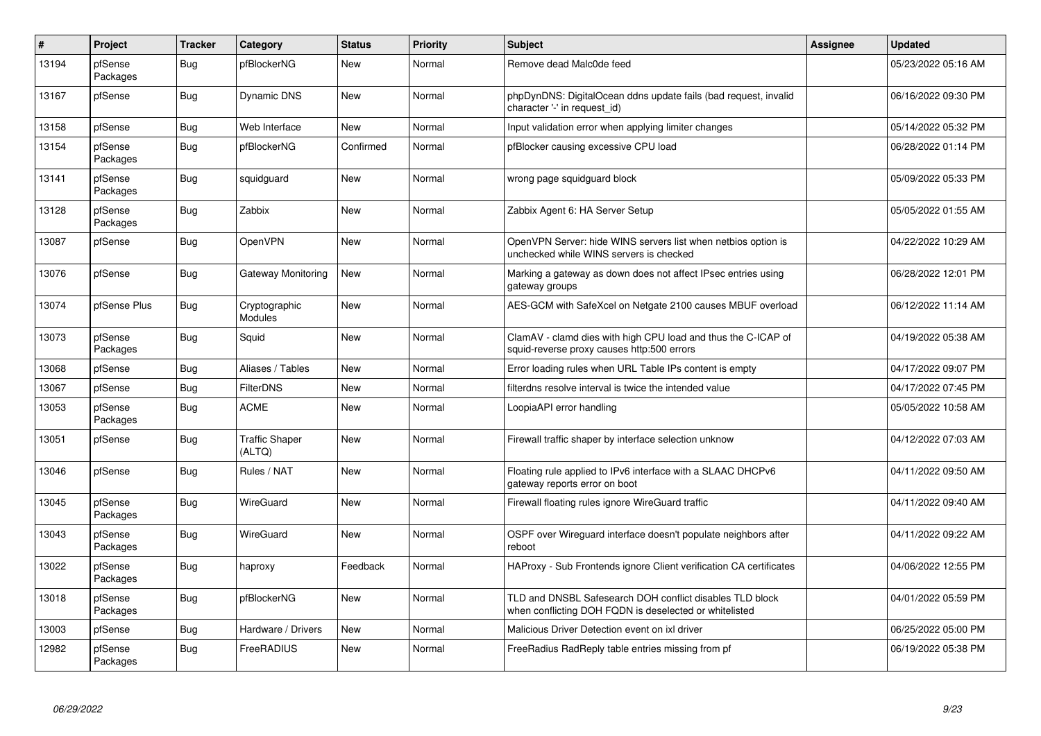| $\pmb{\#}$ | Project             | <b>Tracker</b> | Category                        | <b>Status</b> | <b>Priority</b> | <b>Subject</b>                                                                                                      | Assignee | <b>Updated</b>      |
|------------|---------------------|----------------|---------------------------------|---------------|-----------------|---------------------------------------------------------------------------------------------------------------------|----------|---------------------|
| 13194      | pfSense<br>Packages | Bug            | pfBlockerNG                     | New           | Normal          | Remove dead Malc0de feed                                                                                            |          | 05/23/2022 05:16 AM |
| 13167      | pfSense             | Bug            | Dynamic DNS                     | New           | Normal          | phpDynDNS: DigitalOcean ddns update fails (bad request, invalid<br>character '-' in request id)                     |          | 06/16/2022 09:30 PM |
| 13158      | pfSense             | <b>Bug</b>     | Web Interface                   | New           | Normal          | Input validation error when applying limiter changes                                                                |          | 05/14/2022 05:32 PM |
| 13154      | pfSense<br>Packages | Bug            | pfBlockerNG                     | Confirmed     | Normal          | pfBlocker causing excessive CPU load                                                                                |          | 06/28/2022 01:14 PM |
| 13141      | pfSense<br>Packages | <b>Bug</b>     | squidguard                      | New           | Normal          | wrong page squidguard block                                                                                         |          | 05/09/2022 05:33 PM |
| 13128      | pfSense<br>Packages | <b>Bug</b>     | Zabbix                          | New           | Normal          | Zabbix Agent 6: HA Server Setup                                                                                     |          | 05/05/2022 01:55 AM |
| 13087      | pfSense             | Bug            | OpenVPN                         | New           | Normal          | OpenVPN Server: hide WINS servers list when netbios option is<br>unchecked while WINS servers is checked            |          | 04/22/2022 10:29 AM |
| 13076      | pfSense             | Bug            | Gateway Monitoring              | <b>New</b>    | Normal          | Marking a gateway as down does not affect IPsec entries using<br>gateway groups                                     |          | 06/28/2022 12:01 PM |
| 13074      | pfSense Plus        | <b>Bug</b>     | Cryptographic<br><b>Modules</b> | <b>New</b>    | Normal          | AES-GCM with SafeXcel on Netgate 2100 causes MBUF overload                                                          |          | 06/12/2022 11:14 AM |
| 13073      | pfSense<br>Packages | Bug            | Squid                           | <b>New</b>    | Normal          | ClamAV - clamd dies with high CPU load and thus the C-ICAP of<br>squid-reverse proxy causes http:500 errors         |          | 04/19/2022 05:38 AM |
| 13068      | pfSense             | <b>Bug</b>     | Aliases / Tables                | <b>New</b>    | Normal          | Error loading rules when URL Table IPs content is empty                                                             |          | 04/17/2022 09:07 PM |
| 13067      | pfSense             | <b>Bug</b>     | FilterDNS                       | New           | Normal          | filterdns resolve interval is twice the intended value                                                              |          | 04/17/2022 07:45 PM |
| 13053      | pfSense<br>Packages | Bug            | <b>ACME</b>                     | New           | Normal          | LoopiaAPI error handling                                                                                            |          | 05/05/2022 10:58 AM |
| 13051      | pfSense             | <b>Bug</b>     | <b>Traffic Shaper</b><br>(ALTQ) | <b>New</b>    | Normal          | Firewall traffic shaper by interface selection unknow                                                               |          | 04/12/2022 07:03 AM |
| 13046      | pfSense             | <b>Bug</b>     | Rules / NAT                     | <b>New</b>    | Normal          | Floating rule applied to IPv6 interface with a SLAAC DHCPv6<br>gateway reports error on boot                        |          | 04/11/2022 09:50 AM |
| 13045      | pfSense<br>Packages | Bug            | WireGuard                       | <b>New</b>    | Normal          | Firewall floating rules ignore WireGuard traffic                                                                    |          | 04/11/2022 09:40 AM |
| 13043      | pfSense<br>Packages | <b>Bug</b>     | WireGuard                       | <b>New</b>    | Normal          | OSPF over Wireguard interface doesn't populate neighbors after<br>reboot                                            |          | 04/11/2022 09:22 AM |
| 13022      | pfSense<br>Packages | Bug            | haproxy                         | Feedback      | Normal          | HAProxy - Sub Frontends ignore Client verification CA certificates                                                  |          | 04/06/2022 12:55 PM |
| 13018      | pfSense<br>Packages | <b>Bug</b>     | pfBlockerNG                     | <b>New</b>    | Normal          | TLD and DNSBL Safesearch DOH conflict disables TLD block<br>when conflicting DOH FQDN is deselected or white listed |          | 04/01/2022 05:59 PM |
| 13003      | pfSense             | <b>Bug</b>     | Hardware / Drivers              | <b>New</b>    | Normal          | Malicious Driver Detection event on ixl driver                                                                      |          | 06/25/2022 05:00 PM |
| 12982      | pfSense<br>Packages | <b>Bug</b>     | FreeRADIUS                      | <b>New</b>    | Normal          | FreeRadius RadReply table entries missing from pf                                                                   |          | 06/19/2022 05:38 PM |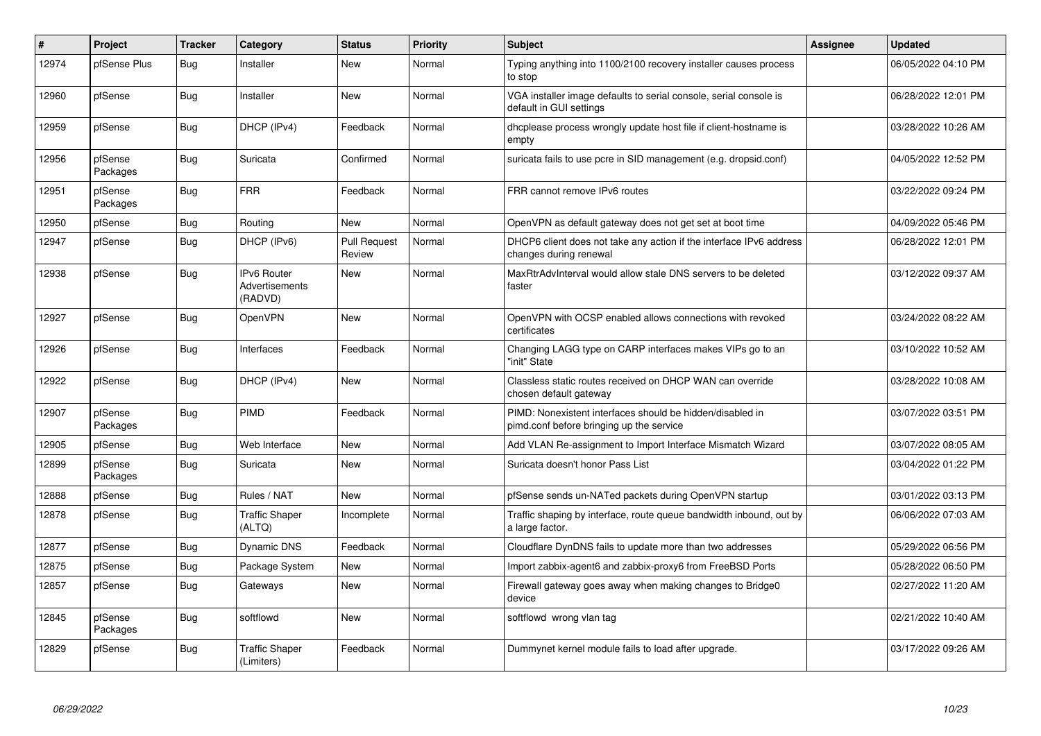| #     | Project             | <b>Tracker</b> | Category                                 | <b>Status</b>                 | <b>Priority</b> | <b>Subject</b>                                                                                        | Assignee | <b>Updated</b>      |
|-------|---------------------|----------------|------------------------------------------|-------------------------------|-----------------|-------------------------------------------------------------------------------------------------------|----------|---------------------|
| 12974 | pfSense Plus        | Bug            | Installer                                | <b>New</b>                    | Normal          | Typing anything into 1100/2100 recovery installer causes process<br>to stop                           |          | 06/05/2022 04:10 PM |
| 12960 | pfSense             | Bug            | Installer                                | New                           | Normal          | VGA installer image defaults to serial console, serial console is<br>default in GUI settings          |          | 06/28/2022 12:01 PM |
| 12959 | pfSense             | <b>Bug</b>     | DHCP (IPv4)                              | Feedback                      | Normal          | dhoplease process wrongly update host file if client-hostname is<br>empty                             |          | 03/28/2022 10:26 AM |
| 12956 | pfSense<br>Packages | <b>Bug</b>     | Suricata                                 | Confirmed                     | Normal          | suricata fails to use pcre in SID management (e.g. dropsid.conf)                                      |          | 04/05/2022 12:52 PM |
| 12951 | pfSense<br>Packages | <b>Bug</b>     | <b>FRR</b>                               | Feedback                      | Normal          | FRR cannot remove IPv6 routes                                                                         |          | 03/22/2022 09:24 PM |
| 12950 | pfSense             | <b>Bug</b>     | Routing                                  | New                           | Normal          | OpenVPN as default gateway does not get set at boot time                                              |          | 04/09/2022 05:46 PM |
| 12947 | pfSense             | <b>Bug</b>     | DHCP (IPv6)                              | <b>Pull Request</b><br>Review | Normal          | DHCP6 client does not take any action if the interface IPv6 address<br>changes during renewal         |          | 06/28/2022 12:01 PM |
| 12938 | pfSense             | Bug            | IPv6 Router<br>Advertisements<br>(RADVD) | New                           | Normal          | MaxRtrAdvInterval would allow stale DNS servers to be deleted<br>faster                               |          | 03/12/2022 09:37 AM |
| 12927 | pfSense             | Bug            | <b>OpenVPN</b>                           | <b>New</b>                    | Normal          | OpenVPN with OCSP enabled allows connections with revoked<br>certificates                             |          | 03/24/2022 08:22 AM |
| 12926 | pfSense             | Bug            | Interfaces                               | Feedback                      | Normal          | Changing LAGG type on CARP interfaces makes VIPs go to an<br>"init" State                             |          | 03/10/2022 10:52 AM |
| 12922 | pfSense             | <b>Bug</b>     | DHCP (IPv4)                              | <b>New</b>                    | Normal          | Classless static routes received on DHCP WAN can override<br>chosen default gateway                   |          | 03/28/2022 10:08 AM |
| 12907 | pfSense<br>Packages | Bug            | PIMD                                     | Feedback                      | Normal          | PIMD: Nonexistent interfaces should be hidden/disabled in<br>pimd.conf before bringing up the service |          | 03/07/2022 03:51 PM |
| 12905 | pfSense             | Bug            | Web Interface                            | New                           | Normal          | Add VLAN Re-assignment to Import Interface Mismatch Wizard                                            |          | 03/07/2022 08:05 AM |
| 12899 | pfSense<br>Packages | <b>Bug</b>     | Suricata                                 | New                           | Normal          | Suricata doesn't honor Pass List                                                                      |          | 03/04/2022 01:22 PM |
| 12888 | pfSense             | Bug            | Rules / NAT                              | New                           | Normal          | pfSense sends un-NATed packets during OpenVPN startup                                                 |          | 03/01/2022 03:13 PM |
| 12878 | pfSense             | <b>Bug</b>     | <b>Traffic Shaper</b><br>(ALTQ)          | Incomplete                    | Normal          | Traffic shaping by interface, route queue bandwidth inbound, out by<br>a large factor.                |          | 06/06/2022 07:03 AM |
| 12877 | pfSense             | Bug            | Dynamic DNS                              | Feedback                      | Normal          | Cloudflare DynDNS fails to update more than two addresses                                             |          | 05/29/2022 06:56 PM |
| 12875 | pfSense             | <b>Bug</b>     | Package System                           | <b>New</b>                    | Normal          | Import zabbix-agent6 and zabbix-proxy6 from FreeBSD Ports                                             |          | 05/28/2022 06:50 PM |
| 12857 | pfSense             | <b>Bug</b>     | Gateways                                 | <b>New</b>                    | Normal          | Firewall gateway goes away when making changes to Bridge0<br>device                                   |          | 02/27/2022 11:20 AM |
| 12845 | pfSense<br>Packages | <b>Bug</b>     | softflowd                                | <b>New</b>                    | Normal          | softflowd wrong vlan tag                                                                              |          | 02/21/2022 10:40 AM |
| 12829 | pfSense             | <b>Bug</b>     | <b>Traffic Shaper</b><br>(Limiters)      | Feedback                      | Normal          | Dummynet kernel module fails to load after upgrade.                                                   |          | 03/17/2022 09:26 AM |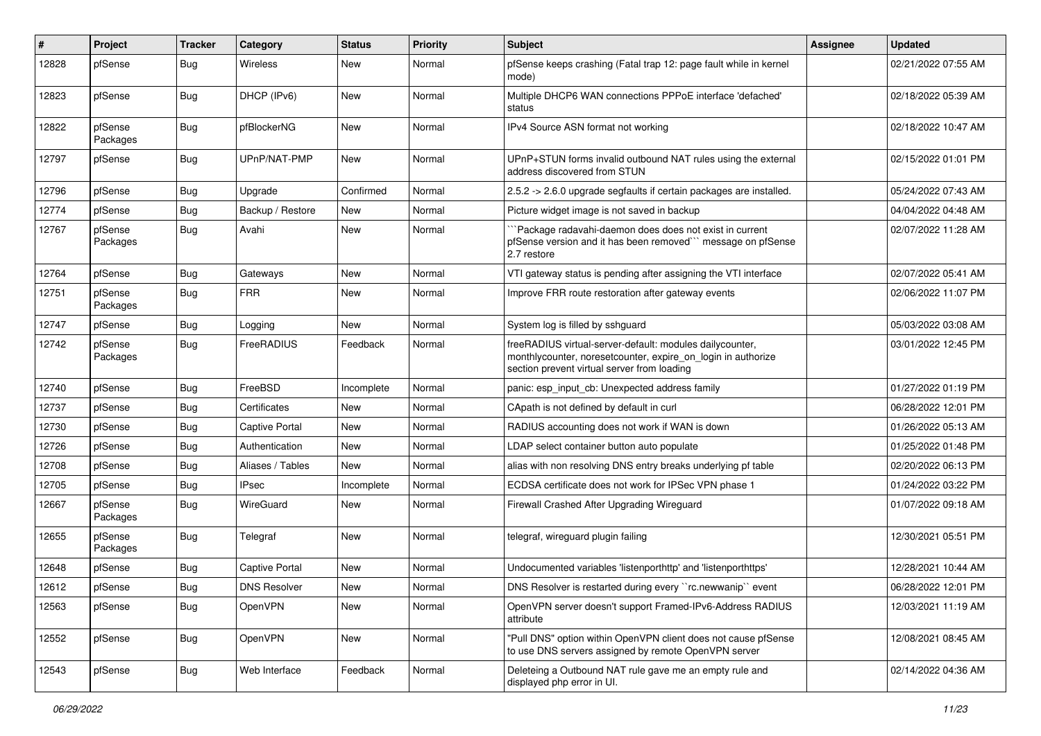| #     | Project             | <b>Tracker</b> | Category            | <b>Status</b> | Priority | Subject                                                                                                                                                                 | Assignee | <b>Updated</b>      |
|-------|---------------------|----------------|---------------------|---------------|----------|-------------------------------------------------------------------------------------------------------------------------------------------------------------------------|----------|---------------------|
| 12828 | pfSense             | Bug            | Wireless            | New           | Normal   | pfSense keeps crashing (Fatal trap 12: page fault while in kernel<br>mode)                                                                                              |          | 02/21/2022 07:55 AM |
| 12823 | pfSense             | Bug            | DHCP (IPv6)         | New           | Normal   | Multiple DHCP6 WAN connections PPPoE interface 'defached'<br>status                                                                                                     |          | 02/18/2022 05:39 AM |
| 12822 | pfSense<br>Packages | <b>Bug</b>     | pfBlockerNG         | <b>New</b>    | Normal   | IPv4 Source ASN format not working                                                                                                                                      |          | 02/18/2022 10:47 AM |
| 12797 | pfSense             | Bug            | UPnP/NAT-PMP        | New           | Normal   | UPnP+STUN forms invalid outbound NAT rules using the external<br>address discovered from STUN                                                                           |          | 02/15/2022 01:01 PM |
| 12796 | pfSense             | Bug            | Upgrade             | Confirmed     | Normal   | 2.5.2 -> 2.6.0 upgrade segfaults if certain packages are installed.                                                                                                     |          | 05/24/2022 07:43 AM |
| 12774 | pfSense             | Bug            | Backup / Restore    | New           | Normal   | Picture widget image is not saved in backup                                                                                                                             |          | 04/04/2022 04:48 AM |
| 12767 | pfSense<br>Packages | <b>Bug</b>     | Avahi               | New           | Normal   | `Package radavahi-daemon does does not exist in current<br>pfSense version and it has been removed"" message on pfSense<br>2.7 restore                                  |          | 02/07/2022 11:28 AM |
| 12764 | pfSense             | Bug            | Gateways            | New           | Normal   | VTI gateway status is pending after assigning the VTI interface                                                                                                         |          | 02/07/2022 05:41 AM |
| 12751 | pfSense<br>Packages | Bug            | <b>FRR</b>          | New           | Normal   | Improve FRR route restoration after gateway events                                                                                                                      |          | 02/06/2022 11:07 PM |
| 12747 | pfSense             | Bug            | Logging             | New           | Normal   | System log is filled by sshguard                                                                                                                                        |          | 05/03/2022 03:08 AM |
| 12742 | pfSense<br>Packages | <b>Bug</b>     | FreeRADIUS          | Feedback      | Normal   | freeRADIUS virtual-server-default: modules dailycounter,<br>monthlycounter, noresetcounter, expire_on_login in authorize<br>section prevent virtual server from loading |          | 03/01/2022 12:45 PM |
| 12740 | pfSense             | Bug            | FreeBSD             | Incomplete    | Normal   | panic: esp input cb: Unexpected address family                                                                                                                          |          | 01/27/2022 01:19 PM |
| 12737 | pfSense             | Bug            | Certificates        | New           | Normal   | CApath is not defined by default in curl                                                                                                                                |          | 06/28/2022 12:01 PM |
| 12730 | pfSense             | Bug            | Captive Portal      | New           | Normal   | RADIUS accounting does not work if WAN is down                                                                                                                          |          | 01/26/2022 05:13 AM |
| 12726 | pfSense             | Bug            | Authentication      | <b>New</b>    | Normal   | LDAP select container button auto populate                                                                                                                              |          | 01/25/2022 01:48 PM |
| 12708 | pfSense             | Bug            | Aliases / Tables    | New           | Normal   | alias with non resolving DNS entry breaks underlying pf table                                                                                                           |          | 02/20/2022 06:13 PM |
| 12705 | pfSense             | Bug            | <b>IPsec</b>        | Incomplete    | Normal   | ECDSA certificate does not work for IPSec VPN phase 1                                                                                                                   |          | 01/24/2022 03:22 PM |
| 12667 | pfSense<br>Packages | <b>Bug</b>     | WireGuard           | New           | Normal   | Firewall Crashed After Upgrading Wireguard                                                                                                                              |          | 01/07/2022 09:18 AM |
| 12655 | pfSense<br>Packages | <b>Bug</b>     | Telegraf            | New           | Normal   | telegraf, wireguard plugin failing                                                                                                                                      |          | 12/30/2021 05:51 PM |
| 12648 | pfSense             | Bug            | Captive Portal      | New           | Normal   | Undocumented variables 'listenporthttp' and 'listenporthttps'                                                                                                           |          | 12/28/2021 10:44 AM |
| 12612 | pfSense             | Bug            | <b>DNS Resolver</b> | New           | Normal   | DNS Resolver is restarted during every "rc.newwanip" event                                                                                                              |          | 06/28/2022 12:01 PM |
| 12563 | pfSense             | Bug            | OpenVPN             | New           | Normal   | OpenVPN server doesn't support Framed-IPv6-Address RADIUS<br>attribute                                                                                                  |          | 12/03/2021 11:19 AM |
| 12552 | pfSense             | <b>Bug</b>     | <b>OpenVPN</b>      | New           | Normal   | "Pull DNS" option within OpenVPN client does not cause pfSense<br>to use DNS servers assigned by remote OpenVPN server                                                  |          | 12/08/2021 08:45 AM |
| 12543 | pfSense             | <b>Bug</b>     | Web Interface       | Feedback      | Normal   | Deleteing a Outbound NAT rule gave me an empty rule and<br>displayed php error in UI.                                                                                   |          | 02/14/2022 04:36 AM |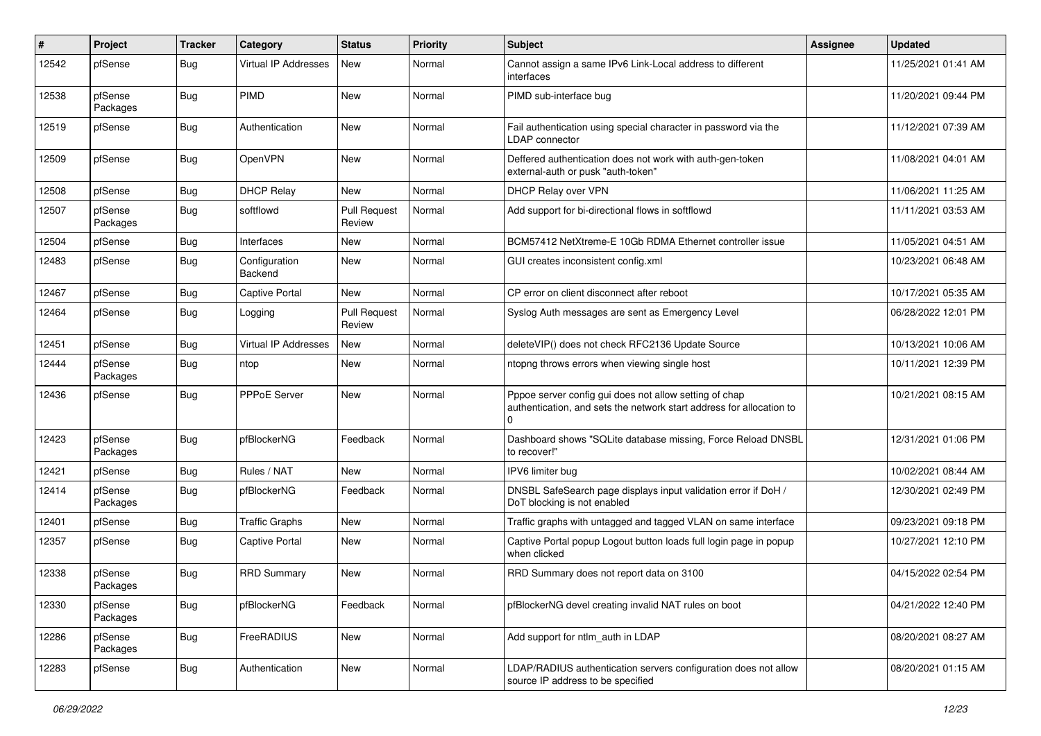| ∦     | Project             | <b>Tracker</b> | Category                 | <b>Status</b>                 | Priority | <b>Subject</b>                                                                                                                      | <b>Assignee</b> | <b>Updated</b>      |
|-------|---------------------|----------------|--------------------------|-------------------------------|----------|-------------------------------------------------------------------------------------------------------------------------------------|-----------------|---------------------|
| 12542 | pfSense             | Bug            | Virtual IP Addresses     | New                           | Normal   | Cannot assign a same IPv6 Link-Local address to different<br>interfaces                                                             |                 | 11/25/2021 01:41 AM |
| 12538 | pfSense<br>Packages | <b>Bug</b>     | <b>PIMD</b>              | New                           | Normal   | PIMD sub-interface bug                                                                                                              |                 | 11/20/2021 09:44 PM |
| 12519 | pfSense             | <b>Bug</b>     | Authentication           | New                           | Normal   | Fail authentication using special character in password via the<br><b>LDAP</b> connector                                            |                 | 11/12/2021 07:39 AM |
| 12509 | pfSense             | Bug            | OpenVPN                  | New                           | Normal   | Deffered authentication does not work with auth-gen-token<br>external-auth or pusk "auth-token"                                     |                 | 11/08/2021 04:01 AM |
| 12508 | pfSense             | <b>Bug</b>     | <b>DHCP Relay</b>        | New                           | Normal   | DHCP Relay over VPN                                                                                                                 |                 | 11/06/2021 11:25 AM |
| 12507 | pfSense<br>Packages | <b>Bug</b>     | softflowd                | <b>Pull Request</b><br>Review | Normal   | Add support for bi-directional flows in softflowd                                                                                   |                 | 11/11/2021 03:53 AM |
| 12504 | pfSense             | <b>Bug</b>     | Interfaces               | <b>New</b>                    | Normal   | BCM57412 NetXtreme-E 10Gb RDMA Ethernet controller issue                                                                            |                 | 11/05/2021 04:51 AM |
| 12483 | pfSense             | <b>Bug</b>     | Configuration<br>Backend | New                           | Normal   | GUI creates inconsistent config.xml                                                                                                 |                 | 10/23/2021 06:48 AM |
| 12467 | pfSense             | Bug            | <b>Captive Portal</b>    | New                           | Normal   | CP error on client disconnect after reboot                                                                                          |                 | 10/17/2021 05:35 AM |
| 12464 | pfSense             | <b>Bug</b>     | Logging                  | <b>Pull Request</b><br>Review | Normal   | Syslog Auth messages are sent as Emergency Level                                                                                    |                 | 06/28/2022 12:01 PM |
| 12451 | pfSense             | <b>Bug</b>     | Virtual IP Addresses     | <b>New</b>                    | Normal   | deleteVIP() does not check RFC2136 Update Source                                                                                    |                 | 10/13/2021 10:06 AM |
| 12444 | pfSense<br>Packages | <b>Bug</b>     | ntop                     | New                           | Normal   | ntopng throws errors when viewing single host                                                                                       |                 | 10/11/2021 12:39 PM |
| 12436 | pfSense             | <b>Bug</b>     | PPPoE Server             | New                           | Normal   | Pppoe server config gui does not allow setting of chap<br>authentication, and sets the network start address for allocation to<br>0 |                 | 10/21/2021 08:15 AM |
| 12423 | pfSense<br>Packages | <b>Bug</b>     | pfBlockerNG              | Feedback                      | Normal   | Dashboard shows "SQLite database missing, Force Reload DNSBL<br>to recover!"                                                        |                 | 12/31/2021 01:06 PM |
| 12421 | pfSense             | <b>Bug</b>     | Rules / NAT              | New                           | Normal   | IPV6 limiter bug                                                                                                                    |                 | 10/02/2021 08:44 AM |
| 12414 | pfSense<br>Packages | <b>Bug</b>     | pfBlockerNG              | Feedback                      | Normal   | DNSBL SafeSearch page displays input validation error if DoH /<br>DoT blocking is not enabled                                       |                 | 12/30/2021 02:49 PM |
| 12401 | pfSense             | <b>Bug</b>     | <b>Traffic Graphs</b>    | New                           | Normal   | Traffic graphs with untagged and tagged VLAN on same interface                                                                      |                 | 09/23/2021 09:18 PM |
| 12357 | pfSense             | <b>Bug</b>     | <b>Captive Portal</b>    | New                           | Normal   | Captive Portal popup Logout button loads full login page in popup<br>when clicked                                                   |                 | 10/27/2021 12:10 PM |
| 12338 | pfSense<br>Packages | <b>Bug</b>     | <b>RRD Summary</b>       | <b>New</b>                    | Normal   | RRD Summary does not report data on 3100                                                                                            |                 | 04/15/2022 02:54 PM |
| 12330 | pfSense<br>Packages | <b>Bug</b>     | pfBlockerNG              | Feedback                      | Normal   | pfBlockerNG devel creating invalid NAT rules on boot                                                                                |                 | 04/21/2022 12:40 PM |
| 12286 | pfSense<br>Packages | Bug            | FreeRADIUS               | New                           | Normal   | Add support for ntlm_auth in LDAP                                                                                                   |                 | 08/20/2021 08:27 AM |
| 12283 | pfSense             | Bug            | Authentication           | New                           | Normal   | LDAP/RADIUS authentication servers configuration does not allow<br>source IP address to be specified                                |                 | 08/20/2021 01:15 AM |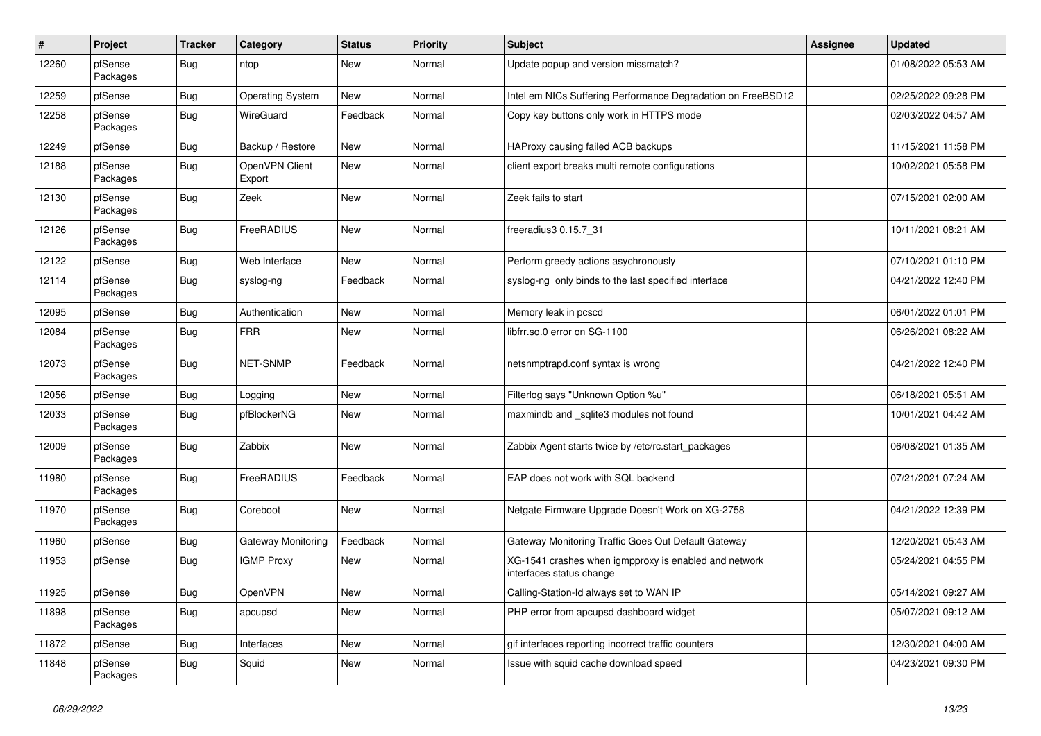| #     | Project             | <b>Tracker</b> | Category                 | <b>Status</b> | <b>Priority</b> | <b>Subject</b>                                                                    | <b>Assignee</b> | <b>Updated</b>      |
|-------|---------------------|----------------|--------------------------|---------------|-----------------|-----------------------------------------------------------------------------------|-----------------|---------------------|
| 12260 | pfSense<br>Packages | <b>Bug</b>     | ntop                     | New           | Normal          | Update popup and version missmatch?                                               |                 | 01/08/2022 05:53 AM |
| 12259 | pfSense             | <b>Bug</b>     | <b>Operating System</b>  | <b>New</b>    | Normal          | Intel em NICs Suffering Performance Degradation on FreeBSD12                      |                 | 02/25/2022 09:28 PM |
| 12258 | pfSense<br>Packages | <b>Bug</b>     | WireGuard                | Feedback      | Normal          | Copy key buttons only work in HTTPS mode                                          |                 | 02/03/2022 04:57 AM |
| 12249 | pfSense             | <b>Bug</b>     | Backup / Restore         | <b>New</b>    | Normal          | HAProxy causing failed ACB backups                                                |                 | 11/15/2021 11:58 PM |
| 12188 | pfSense<br>Packages | <b>Bug</b>     | OpenVPN Client<br>Export | New           | Normal          | client export breaks multi remote configurations                                  |                 | 10/02/2021 05:58 PM |
| 12130 | pfSense<br>Packages | <b>Bug</b>     | Zeek                     | <b>New</b>    | Normal          | Zeek fails to start                                                               |                 | 07/15/2021 02:00 AM |
| 12126 | pfSense<br>Packages | <b>Bug</b>     | FreeRADIUS               | <b>New</b>    | Normal          | freeradius3 0.15.7_31                                                             |                 | 10/11/2021 08:21 AM |
| 12122 | pfSense             | <b>Bug</b>     | Web Interface            | New           | Normal          | Perform greedy actions asychronously                                              |                 | 07/10/2021 01:10 PM |
| 12114 | pfSense<br>Packages | <b>Bug</b>     | syslog-ng                | Feedback      | Normal          | syslog-ng only binds to the last specified interface                              |                 | 04/21/2022 12:40 PM |
| 12095 | pfSense             | <b>Bug</b>     | Authentication           | <b>New</b>    | Normal          | Memory leak in pcscd                                                              |                 | 06/01/2022 01:01 PM |
| 12084 | pfSense<br>Packages | <b>Bug</b>     | <b>FRR</b>               | New           | Normal          | libfrr.so.0 error on SG-1100                                                      |                 | 06/26/2021 08:22 AM |
| 12073 | pfSense<br>Packages | <b>Bug</b>     | NET-SNMP                 | Feedback      | Normal          | netsnmptrapd.conf syntax is wrong                                                 |                 | 04/21/2022 12:40 PM |
| 12056 | pfSense             | <b>Bug</b>     | Logging                  | New           | Normal          | Filterlog says "Unknown Option %u"                                                |                 | 06/18/2021 05:51 AM |
| 12033 | pfSense<br>Packages | <b>Bug</b>     | pfBlockerNG              | New           | Normal          | maxmindb and _sqlite3 modules not found                                           |                 | 10/01/2021 04:42 AM |
| 12009 | pfSense<br>Packages | <b>Bug</b>     | Zabbix                   | New           | Normal          | Zabbix Agent starts twice by /etc/rc.start_packages                               |                 | 06/08/2021 01:35 AM |
| 11980 | pfSense<br>Packages | Bug            | FreeRADIUS               | Feedback      | Normal          | EAP does not work with SQL backend                                                |                 | 07/21/2021 07:24 AM |
| 11970 | pfSense<br>Packages | <b>Bug</b>     | Coreboot                 | <b>New</b>    | Normal          | Netgate Firmware Upgrade Doesn't Work on XG-2758                                  |                 | 04/21/2022 12:39 PM |
| 11960 | pfSense             | <b>Bug</b>     | Gateway Monitoring       | Feedback      | Normal          | Gateway Monitoring Traffic Goes Out Default Gateway                               |                 | 12/20/2021 05:43 AM |
| 11953 | pfSense             | <b>Bug</b>     | <b>IGMP Proxy</b>        | <b>New</b>    | Normal          | XG-1541 crashes when igmpproxy is enabled and network<br>interfaces status change |                 | 05/24/2021 04:55 PM |
| 11925 | pfSense             | <b>Bug</b>     | OpenVPN                  | New           | Normal          | Calling-Station-Id always set to WAN IP                                           |                 | 05/14/2021 09:27 AM |
| 11898 | pfSense<br>Packages | <b>Bug</b>     | apcupsd                  | New           | Normal          | PHP error from apcupsd dashboard widget                                           |                 | 05/07/2021 09:12 AM |
| 11872 | pfSense             | <b>Bug</b>     | Interfaces               | New           | Normal          | gif interfaces reporting incorrect traffic counters                               |                 | 12/30/2021 04:00 AM |
| 11848 | pfSense<br>Packages | <b>Bug</b>     | Squid                    | New           | Normal          | Issue with squid cache download speed                                             |                 | 04/23/2021 09:30 PM |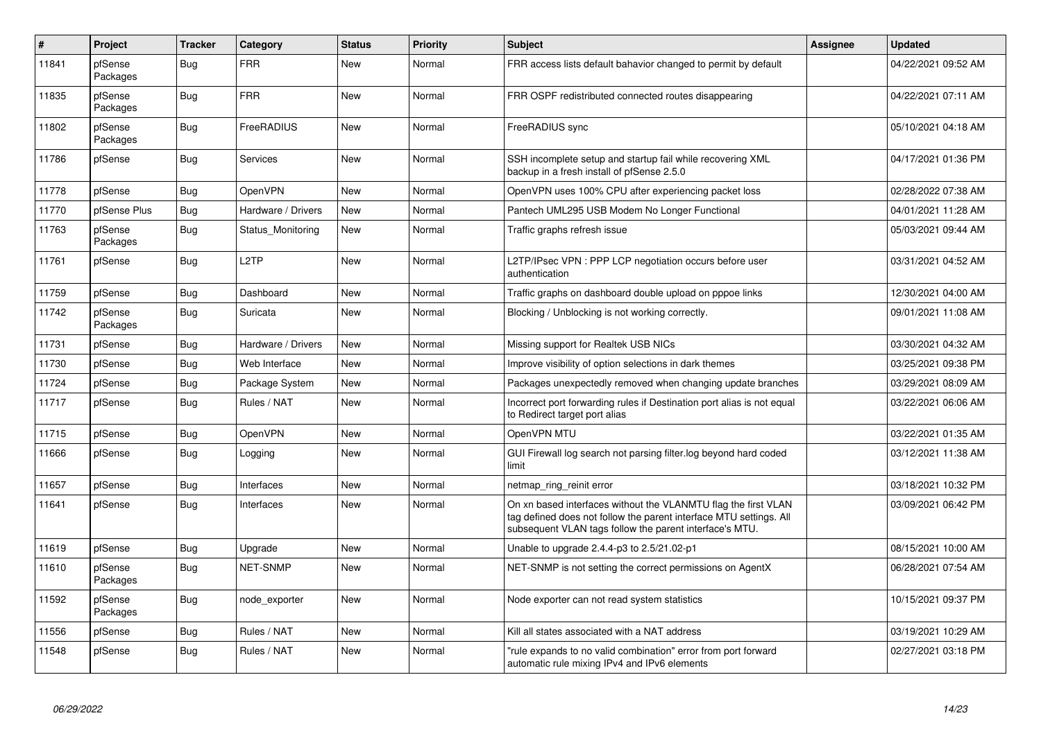| $\vert$ # | Project             | <b>Tracker</b> | Category           | <b>Status</b> | <b>Priority</b> | <b>Subject</b>                                                                                                                                                                                  | <b>Assignee</b> | <b>Updated</b>      |
|-----------|---------------------|----------------|--------------------|---------------|-----------------|-------------------------------------------------------------------------------------------------------------------------------------------------------------------------------------------------|-----------------|---------------------|
| 11841     | pfSense<br>Packages | <b>Bug</b>     | <b>FRR</b>         | New           | Normal          | FRR access lists default bahavior changed to permit by default                                                                                                                                  |                 | 04/22/2021 09:52 AM |
| 11835     | pfSense<br>Packages | Bug            | <b>FRR</b>         | New           | Normal          | FRR OSPF redistributed connected routes disappearing                                                                                                                                            |                 | 04/22/2021 07:11 AM |
| 11802     | pfSense<br>Packages | Bug            | FreeRADIUS         | New           | Normal          | FreeRADIUS sync                                                                                                                                                                                 |                 | 05/10/2021 04:18 AM |
| 11786     | pfSense             | <b>Bug</b>     | Services           | <b>New</b>    | Normal          | SSH incomplete setup and startup fail while recovering XML<br>backup in a fresh install of pfSense 2.5.0                                                                                        |                 | 04/17/2021 01:36 PM |
| 11778     | pfSense             | <b>Bug</b>     | <b>OpenVPN</b>     | <b>New</b>    | Normal          | OpenVPN uses 100% CPU after experiencing packet loss                                                                                                                                            |                 | 02/28/2022 07:38 AM |
| 11770     | pfSense Plus        | <b>Bug</b>     | Hardware / Drivers | <b>New</b>    | Normal          | Pantech UML295 USB Modem No Longer Functional                                                                                                                                                   |                 | 04/01/2021 11:28 AM |
| 11763     | pfSense<br>Packages | <b>Bug</b>     | Status Monitoring  | New           | Normal          | Traffic graphs refresh issue                                                                                                                                                                    |                 | 05/03/2021 09:44 AM |
| 11761     | pfSense             | <b>Bug</b>     | L <sub>2</sub> TP  | <b>New</b>    | Normal          | L2TP/IPsec VPN : PPP LCP negotiation occurs before user<br>authentication                                                                                                                       |                 | 03/31/2021 04:52 AM |
| 11759     | pfSense             | <b>Bug</b>     | Dashboard          | New           | Normal          | Traffic graphs on dashboard double upload on pppoe links                                                                                                                                        |                 | 12/30/2021 04:00 AM |
| 11742     | pfSense<br>Packages | Bug            | Suricata           | <b>New</b>    | Normal          | Blocking / Unblocking is not working correctly.                                                                                                                                                 |                 | 09/01/2021 11:08 AM |
| 11731     | pfSense             | Bug            | Hardware / Drivers | <b>New</b>    | Normal          | Missing support for Realtek USB NICs                                                                                                                                                            |                 | 03/30/2021 04:32 AM |
| 11730     | pfSense             | Bug            | Web Interface      | New           | Normal          | Improve visibility of option selections in dark themes                                                                                                                                          |                 | 03/25/2021 09:38 PM |
| 11724     | pfSense             | <b>Bug</b>     | Package System     | <b>New</b>    | Normal          | Packages unexpectedly removed when changing update branches                                                                                                                                     |                 | 03/29/2021 08:09 AM |
| 11717     | pfSense             | <b>Bug</b>     | Rules / NAT        | <b>New</b>    | Normal          | Incorrect port forwarding rules if Destination port alias is not equal<br>to Redirect target port alias                                                                                         |                 | 03/22/2021 06:06 AM |
| 11715     | pfSense             | <b>Bug</b>     | OpenVPN            | <b>New</b>    | Normal          | OpenVPN MTU                                                                                                                                                                                     |                 | 03/22/2021 01:35 AM |
| 11666     | pfSense             | Bug            | Logging            | New           | Normal          | GUI Firewall log search not parsing filter.log beyond hard coded<br>limit                                                                                                                       |                 | 03/12/2021 11:38 AM |
| 11657     | pfSense             | Bug            | Interfaces         | <b>New</b>    | Normal          | netmap_ring_reinit error                                                                                                                                                                        |                 | 03/18/2021 10:32 PM |
| 11641     | pfSense             | <b>Bug</b>     | Interfaces         | New           | Normal          | On xn based interfaces without the VLANMTU flag the first VLAN<br>tag defined does not follow the parent interface MTU settings. All<br>subsequent VLAN tags follow the parent interface's MTU. |                 | 03/09/2021 06:42 PM |
| 11619     | pfSense             | <b>Bug</b>     | Upgrade            | <b>New</b>    | Normal          | Unable to upgrade $2.4.4$ -p3 to $2.5/21.02$ -p1                                                                                                                                                |                 | 08/15/2021 10:00 AM |
| 11610     | pfSense<br>Packages | <b>Bug</b>     | <b>NET-SNMP</b>    | <b>New</b>    | Normal          | NET-SNMP is not setting the correct permissions on AgentX                                                                                                                                       |                 | 06/28/2021 07:54 AM |
| 11592     | pfSense<br>Packages | <b>Bug</b>     | node exporter      | New           | Normal          | Node exporter can not read system statistics                                                                                                                                                    |                 | 10/15/2021 09:37 PM |
| 11556     | pfSense             | Bug            | Rules / NAT        | New           | Normal          | Kill all states associated with a NAT address                                                                                                                                                   |                 | 03/19/2021 10:29 AM |
| 11548     | pfSense             | <b>Bug</b>     | Rules / NAT        | <b>New</b>    | Normal          | "rule expands to no valid combination" error from port forward<br>automatic rule mixing IPv4 and IPv6 elements                                                                                  |                 | 02/27/2021 03:18 PM |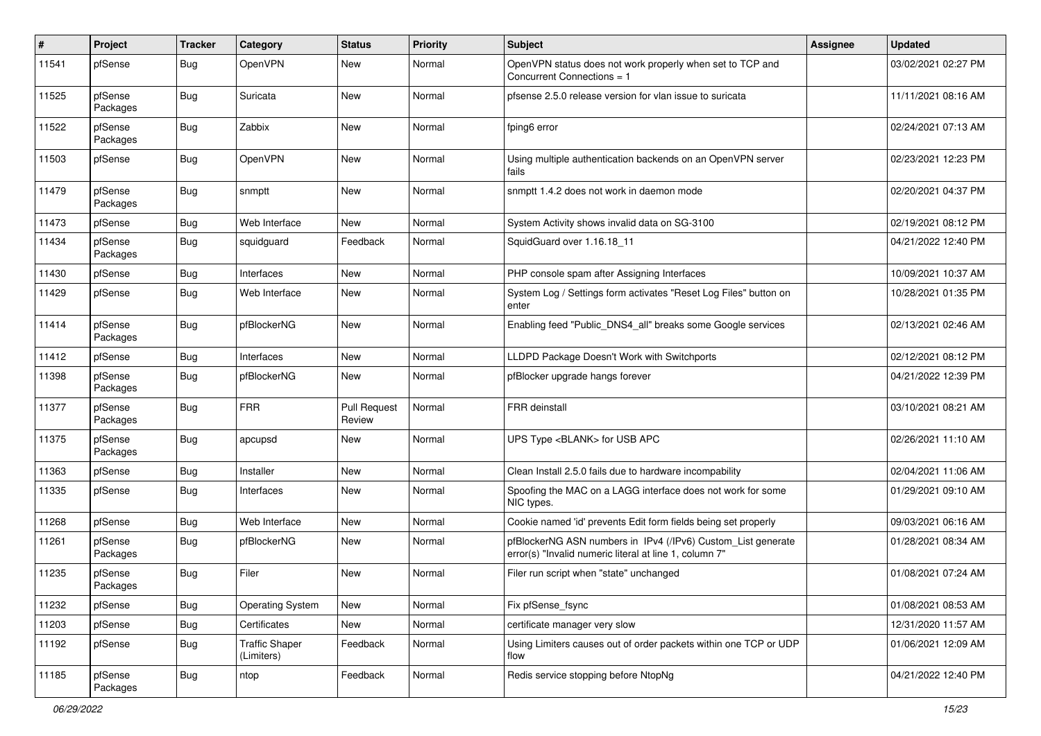| #     | Project             | <b>Tracker</b> | Category                            | <b>Status</b>                 | Priority | <b>Subject</b>                                                                                                         | <b>Assignee</b> | <b>Updated</b>      |
|-------|---------------------|----------------|-------------------------------------|-------------------------------|----------|------------------------------------------------------------------------------------------------------------------------|-----------------|---------------------|
| 11541 | pfSense             | <b>Bug</b>     | <b>OpenVPN</b>                      | New                           | Normal   | OpenVPN status does not work properly when set to TCP and<br>Concurrent Connections = 1                                |                 | 03/02/2021 02:27 PM |
| 11525 | pfSense<br>Packages | <b>Bug</b>     | Suricata                            | <b>New</b>                    | Normal   | pfsense 2.5.0 release version for vlan issue to suricata                                                               |                 | 11/11/2021 08:16 AM |
| 11522 | pfSense<br>Packages | <b>Bug</b>     | Zabbix                              | <b>New</b>                    | Normal   | fping6 error                                                                                                           |                 | 02/24/2021 07:13 AM |
| 11503 | pfSense             | <b>Bug</b>     | <b>OpenVPN</b>                      | <b>New</b>                    | Normal   | Using multiple authentication backends on an OpenVPN server<br>fails                                                   |                 | 02/23/2021 12:23 PM |
| 11479 | pfSense<br>Packages | <b>Bug</b>     | snmptt                              | <b>New</b>                    | Normal   | snmptt 1.4.2 does not work in daemon mode                                                                              |                 | 02/20/2021 04:37 PM |
| 11473 | pfSense             | <b>Bug</b>     | Web Interface                       | <b>New</b>                    | Normal   | System Activity shows invalid data on SG-3100                                                                          |                 | 02/19/2021 08:12 PM |
| 11434 | pfSense<br>Packages | <b>Bug</b>     | squidguard                          | Feedback                      | Normal   | SquidGuard over 1.16.18 11                                                                                             |                 | 04/21/2022 12:40 PM |
| 11430 | pfSense             | <b>Bug</b>     | Interfaces                          | New                           | Normal   | PHP console spam after Assigning Interfaces                                                                            |                 | 10/09/2021 10:37 AM |
| 11429 | pfSense             | Bug            | Web Interface                       | New                           | Normal   | System Log / Settings form activates "Reset Log Files" button on<br>enter                                              |                 | 10/28/2021 01:35 PM |
| 11414 | pfSense<br>Packages | <b>Bug</b>     | pfBlockerNG                         | <b>New</b>                    | Normal   | Enabling feed "Public_DNS4_all" breaks some Google services                                                            |                 | 02/13/2021 02:46 AM |
| 11412 | pfSense             | <b>Bug</b>     | Interfaces                          | <b>New</b>                    | Normal   | LLDPD Package Doesn't Work with Switchports                                                                            |                 | 02/12/2021 08:12 PM |
| 11398 | pfSense<br>Packages | <b>Bug</b>     | pfBlockerNG                         | New                           | Normal   | pfBlocker upgrade hangs forever                                                                                        |                 | 04/21/2022 12:39 PM |
| 11377 | pfSense<br>Packages | <b>Bug</b>     | <b>FRR</b>                          | <b>Pull Request</b><br>Review | Normal   | <b>FRR</b> deinstall                                                                                                   |                 | 03/10/2021 08:21 AM |
| 11375 | pfSense<br>Packages | <b>Bug</b>     | apcupsd                             | New                           | Normal   | UPS Type <blank> for USB APC</blank>                                                                                   |                 | 02/26/2021 11:10 AM |
| 11363 | pfSense             | <b>Bug</b>     | Installer                           | <b>New</b>                    | Normal   | Clean Install 2.5.0 fails due to hardware incompability                                                                |                 | 02/04/2021 11:06 AM |
| 11335 | pfSense             | <b>Bug</b>     | Interfaces                          | <b>New</b>                    | Normal   | Spoofing the MAC on a LAGG interface does not work for some<br>NIC types.                                              |                 | 01/29/2021 09:10 AM |
| 11268 | pfSense             | <b>Bug</b>     | Web Interface                       | New                           | Normal   | Cookie named 'id' prevents Edit form fields being set properly                                                         |                 | 09/03/2021 06:16 AM |
| 11261 | pfSense<br>Packages | <b>Bug</b>     | pfBlockerNG                         | <b>New</b>                    | Normal   | pfBlockerNG ASN numbers in IPv4 (/IPv6) Custom_List generate<br>error(s) "Invalid numeric literal at line 1, column 7" |                 | 01/28/2021 08:34 AM |
| 11235 | pfSense<br>Packages | <b>Bug</b>     | Filer                               | <b>New</b>                    | Normal   | Filer run script when "state" unchanged                                                                                |                 | 01/08/2021 07:24 AM |
| 11232 | pfSense             | <b>Bug</b>     | <b>Operating System</b>             | New                           | Normal   | Fix pfSense_fsync                                                                                                      |                 | 01/08/2021 08:53 AM |
| 11203 | pfSense             | <b>Bug</b>     | Certificates                        | New                           | Normal   | certificate manager very slow                                                                                          |                 | 12/31/2020 11:57 AM |
| 11192 | pfSense             | <b>Bug</b>     | <b>Traffic Shaper</b><br>(Limiters) | Feedback                      | Normal   | Using Limiters causes out of order packets within one TCP or UDP<br>flow                                               |                 | 01/06/2021 12:09 AM |
| 11185 | pfSense<br>Packages | Bug            | ntop                                | Feedback                      | Normal   | Redis service stopping before NtopNg                                                                                   |                 | 04/21/2022 12:40 PM |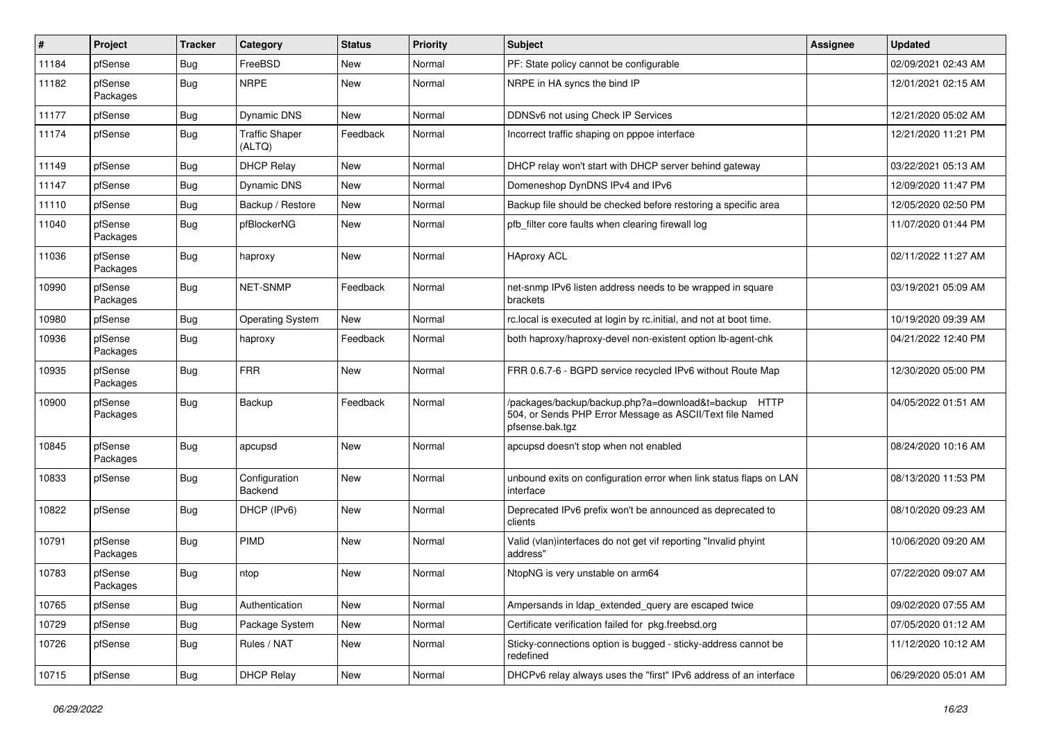| #     | Project             | <b>Tracker</b> | Category                        | <b>Status</b> | <b>Priority</b> | <b>Subject</b>                                                                                                                      | Assignee | <b>Updated</b>      |
|-------|---------------------|----------------|---------------------------------|---------------|-----------------|-------------------------------------------------------------------------------------------------------------------------------------|----------|---------------------|
| 11184 | pfSense             | <b>Bug</b>     | FreeBSD                         | New           | Normal          | PF: State policy cannot be configurable                                                                                             |          | 02/09/2021 02:43 AM |
| 11182 | pfSense<br>Packages | <b>Bug</b>     | <b>NRPE</b>                     | <b>New</b>    | Normal          | NRPE in HA syncs the bind IP                                                                                                        |          | 12/01/2021 02:15 AM |
| 11177 | pfSense             | <b>Bug</b>     | Dynamic DNS                     | <b>New</b>    | Normal          | DDNSv6 not using Check IP Services                                                                                                  |          | 12/21/2020 05:02 AM |
| 11174 | pfSense             | <b>Bug</b>     | <b>Traffic Shaper</b><br>(ALTQ) | Feedback      | Normal          | Incorrect traffic shaping on pppoe interface                                                                                        |          | 12/21/2020 11:21 PM |
| 11149 | pfSense             | <b>Bug</b>     | <b>DHCP Relay</b>               | <b>New</b>    | Normal          | DHCP relay won't start with DHCP server behind gateway                                                                              |          | 03/22/2021 05:13 AM |
| 11147 | pfSense             | <b>Bug</b>     | <b>Dynamic DNS</b>              | <b>New</b>    | Normal          | Domeneshop DynDNS IPv4 and IPv6                                                                                                     |          | 12/09/2020 11:47 PM |
| 11110 | pfSense             | <b>Bug</b>     | Backup / Restore                | New           | Normal          | Backup file should be checked before restoring a specific area                                                                      |          | 12/05/2020 02:50 PM |
| 11040 | pfSense<br>Packages | <b>Bug</b>     | pfBlockerNG                     | New           | Normal          | pfb filter core faults when clearing firewall log                                                                                   |          | 11/07/2020 01:44 PM |
| 11036 | pfSense<br>Packages | <b>Bug</b>     | haproxy                         | <b>New</b>    | Normal          | <b>HAproxy ACL</b>                                                                                                                  |          | 02/11/2022 11:27 AM |
| 10990 | pfSense<br>Packages | Bug            | NET-SNMP                        | Feedback      | Normal          | net-snmp IPv6 listen address needs to be wrapped in square<br>brackets                                                              |          | 03/19/2021 05:09 AM |
| 10980 | pfSense             | <b>Bug</b>     | <b>Operating System</b>         | <b>New</b>    | Normal          | rc.local is executed at login by rc.initial, and not at boot time.                                                                  |          | 10/19/2020 09:39 AM |
| 10936 | pfSense<br>Packages | <b>Bug</b>     | haproxy                         | Feedback      | Normal          | both haproxy/haproxy-devel non-existent option lb-agent-chk                                                                         |          | 04/21/2022 12:40 PM |
| 10935 | pfSense<br>Packages | <b>Bug</b>     | <b>FRR</b>                      | <b>New</b>    | Normal          | FRR 0.6.7-6 - BGPD service recycled IPv6 without Route Map                                                                          |          | 12/30/2020 05:00 PM |
| 10900 | pfSense<br>Packages | Bug            | Backup                          | Feedback      | Normal          | /packages/backup/backup.php?a=download&t=backup HTTP<br>504, or Sends PHP Error Message as ASCII/Text file Named<br>pfsense.bak.tgz |          | 04/05/2022 01:51 AM |
| 10845 | pfSense<br>Packages | <b>Bug</b>     | apcupsd                         | <b>New</b>    | Normal          | apcupsd doesn't stop when not enabled                                                                                               |          | 08/24/2020 10:16 AM |
| 10833 | pfSense             | Bug            | Configuration<br>Backend        | New           | Normal          | unbound exits on configuration error when link status flaps on LAN<br>interface                                                     |          | 08/13/2020 11:53 PM |
| 10822 | pfSense             | Bug            | DHCP (IPv6)                     | New           | Normal          | Deprecated IPv6 prefix won't be announced as deprecated to<br>clients                                                               |          | 08/10/2020 09:23 AM |
| 10791 | pfSense<br>Packages | <b>Bug</b>     | <b>PIMD</b>                     | <b>New</b>    | Normal          | Valid (vlan)interfaces do not get vif reporting "Invalid phyint<br>address"                                                         |          | 10/06/2020 09:20 AM |
| 10783 | pfSense<br>Packages | Bug            | ntop                            | <b>New</b>    | Normal          | NtopNG is very unstable on arm64                                                                                                    |          | 07/22/2020 09:07 AM |
| 10765 | pfSense             | Bug            | Authentication                  | New           | Normal          | Ampersands in Idap_extended_query are escaped twice                                                                                 |          | 09/02/2020 07:55 AM |
| 10729 | pfSense             | Bug            | Package System                  | New           | Normal          | Certificate verification failed for pkg.freebsd.org                                                                                 |          | 07/05/2020 01:12 AM |
| 10726 | pfSense             | <b>Bug</b>     | Rules / NAT                     | New           | Normal          | Sticky-connections option is bugged - sticky-address cannot be<br>redefined                                                         |          | 11/12/2020 10:12 AM |
| 10715 | pfSense             | <b>Bug</b>     | <b>DHCP Relay</b>               | New           | Normal          | DHCPv6 relay always uses the "first" IPv6 address of an interface                                                                   |          | 06/29/2020 05:01 AM |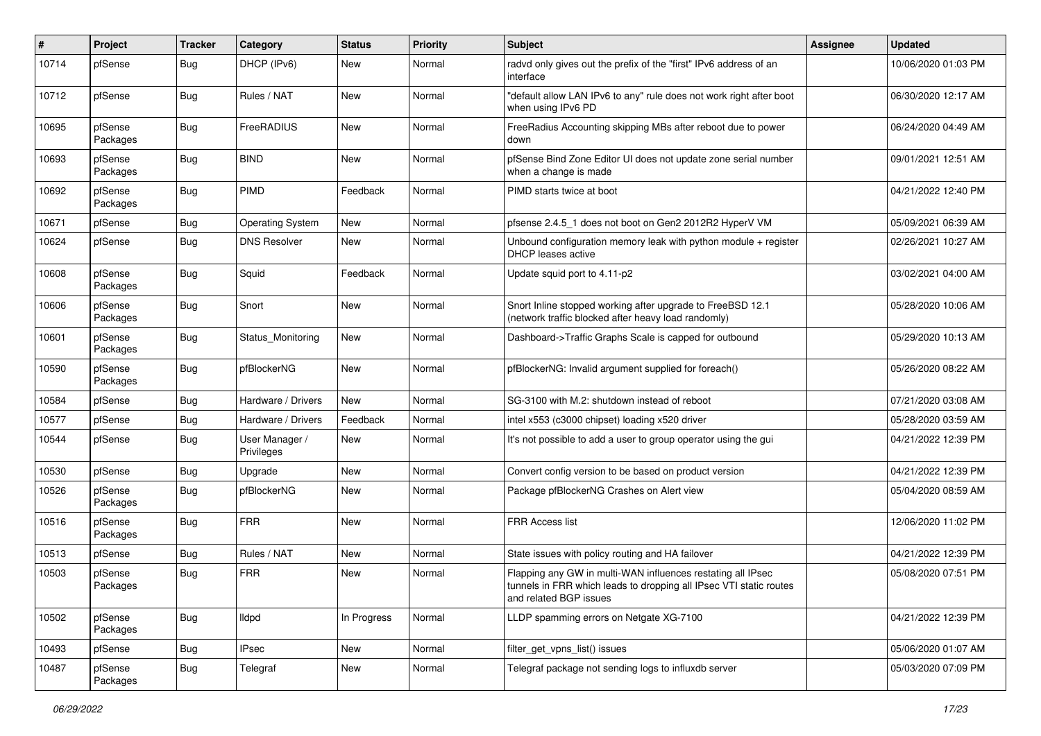| #     | Project             | <b>Tracker</b> | Category                     | <b>Status</b> | <b>Priority</b> | <b>Subject</b>                                                                                                                                              | <b>Assignee</b> | <b>Updated</b>      |
|-------|---------------------|----------------|------------------------------|---------------|-----------------|-------------------------------------------------------------------------------------------------------------------------------------------------------------|-----------------|---------------------|
| 10714 | pfSense             | Bug            | DHCP (IPv6)                  | <b>New</b>    | Normal          | radvd only gives out the prefix of the "first" IPv6 address of an<br>interface                                                                              |                 | 10/06/2020 01:03 PM |
| 10712 | pfSense             | <b>Bug</b>     | Rules / NAT                  | New           | Normal          | "default allow LAN IPv6 to any" rule does not work right after boot<br>when using IPv6 PD                                                                   |                 | 06/30/2020 12:17 AM |
| 10695 | pfSense<br>Packages | <b>Bug</b>     | FreeRADIUS                   | <b>New</b>    | Normal          | FreeRadius Accounting skipping MBs after reboot due to power<br>down                                                                                        |                 | 06/24/2020 04:49 AM |
| 10693 | pfSense<br>Packages | <b>Bug</b>     | <b>BIND</b>                  | <b>New</b>    | Normal          | pfSense Bind Zone Editor UI does not update zone serial number<br>when a change is made                                                                     |                 | 09/01/2021 12:51 AM |
| 10692 | pfSense<br>Packages | <b>Bug</b>     | PIMD                         | Feedback      | Normal          | PIMD starts twice at boot                                                                                                                                   |                 | 04/21/2022 12:40 PM |
| 10671 | pfSense             | <b>Bug</b>     | <b>Operating System</b>      | New           | Normal          | pfsense 2.4.5 1 does not boot on Gen2 2012R2 HyperV VM                                                                                                      |                 | 05/09/2021 06:39 AM |
| 10624 | pfSense             | <b>Bug</b>     | <b>DNS Resolver</b>          | <b>New</b>    | Normal          | Unbound configuration memory leak with python module $+$ register<br>DHCP leases active                                                                     |                 | 02/26/2021 10:27 AM |
| 10608 | pfSense<br>Packages | <b>Bug</b>     | Squid                        | Feedback      | Normal          | Update squid port to 4.11-p2                                                                                                                                |                 | 03/02/2021 04:00 AM |
| 10606 | pfSense<br>Packages | <b>Bug</b>     | Snort                        | <b>New</b>    | Normal          | Snort Inline stopped working after upgrade to FreeBSD 12.1<br>(network traffic blocked after heavy load randomly)                                           |                 | 05/28/2020 10:06 AM |
| 10601 | pfSense<br>Packages | <b>Bug</b>     | Status Monitoring            | New           | Normal          | Dashboard->Traffic Graphs Scale is capped for outbound                                                                                                      |                 | 05/29/2020 10:13 AM |
| 10590 | pfSense<br>Packages | <b>Bug</b>     | pfBlockerNG                  | <b>New</b>    | Normal          | pfBlockerNG: Invalid argument supplied for foreach()                                                                                                        |                 | 05/26/2020 08:22 AM |
| 10584 | pfSense             | <b>Bug</b>     | Hardware / Drivers           | New           | Normal          | SG-3100 with M.2: shutdown instead of reboot                                                                                                                |                 | 07/21/2020 03:08 AM |
| 10577 | pfSense             | Bug            | Hardware / Drivers           | Feedback      | Normal          | intel x553 (c3000 chipset) loading x520 driver                                                                                                              |                 | 05/28/2020 03:59 AM |
| 10544 | pfSense             | <b>Bug</b>     | User Manager /<br>Privileges | <b>New</b>    | Normal          | It's not possible to add a user to group operator using the gui                                                                                             |                 | 04/21/2022 12:39 PM |
| 10530 | pfSense             | Bug            | Upgrade                      | <b>New</b>    | Normal          | Convert config version to be based on product version                                                                                                       |                 | 04/21/2022 12:39 PM |
| 10526 | pfSense<br>Packages | <b>Bug</b>     | pfBlockerNG                  | New           | Normal          | Package pfBlockerNG Crashes on Alert view                                                                                                                   |                 | 05/04/2020 08:59 AM |
| 10516 | pfSense<br>Packages | <b>Bug</b>     | <b>FRR</b>                   | <b>New</b>    | Normal          | <b>FRR Access list</b>                                                                                                                                      |                 | 12/06/2020 11:02 PM |
| 10513 | pfSense             | <b>Bug</b>     | Rules / NAT                  | <b>New</b>    | Normal          | State issues with policy routing and HA failover                                                                                                            |                 | 04/21/2022 12:39 PM |
| 10503 | pfSense<br>Packages | <b>Bug</b>     | <b>FRR</b>                   | New           | Normal          | Flapping any GW in multi-WAN influences restating all IPsec<br>tunnels in FRR which leads to dropping all IPsec VTI static routes<br>and related BGP issues |                 | 05/08/2020 07:51 PM |
| 10502 | pfSense<br>Packages | <b>Bug</b>     | <b>Ildpd</b>                 | In Progress   | Normal          | LLDP spamming errors on Netgate XG-7100                                                                                                                     |                 | 04/21/2022 12:39 PM |
| 10493 | pfSense             | <b>Bug</b>     | <b>IPsec</b>                 | New           | Normal          | filter_get_vpns_list() issues                                                                                                                               |                 | 05/06/2020 01:07 AM |
| 10487 | pfSense<br>Packages | Bug            | Telegraf                     | New           | Normal          | Telegraf package not sending logs to influxdb server                                                                                                        |                 | 05/03/2020 07:09 PM |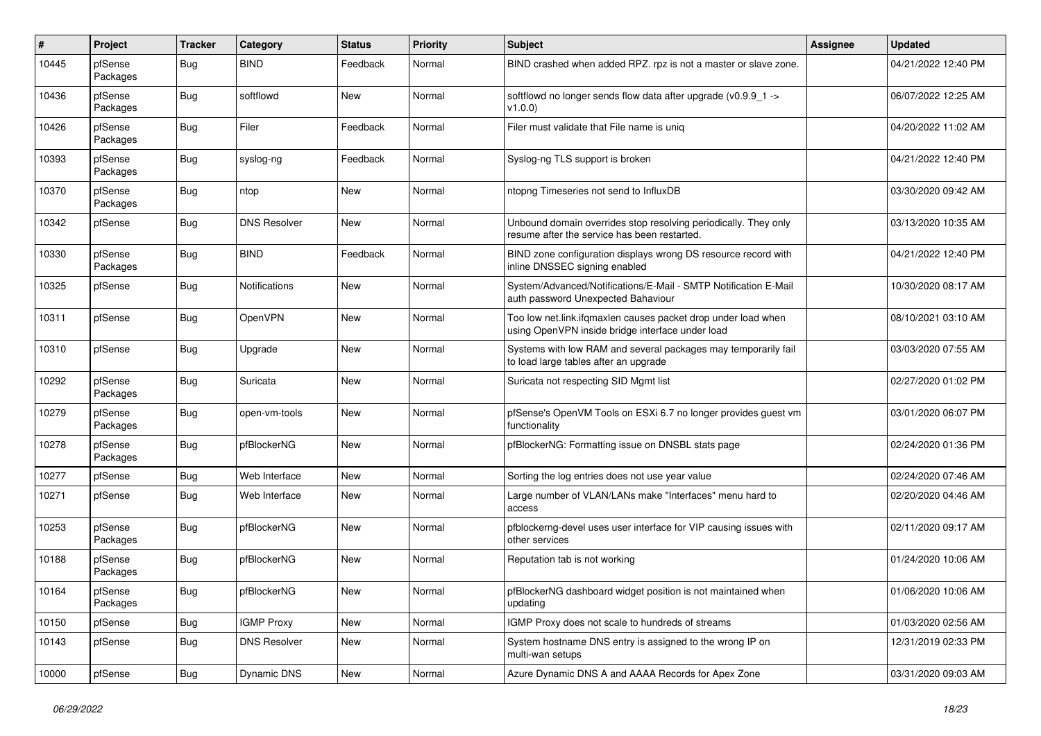| #     | Project             | <b>Tracker</b> | Category             | <b>Status</b> | <b>Priority</b> | <b>Subject</b>                                                                                                    | Assignee | <b>Updated</b>      |
|-------|---------------------|----------------|----------------------|---------------|-----------------|-------------------------------------------------------------------------------------------------------------------|----------|---------------------|
| 10445 | pfSense<br>Packages | Bug            | <b>BIND</b>          | Feedback      | Normal          | BIND crashed when added RPZ. rpz is not a master or slave zone.                                                   |          | 04/21/2022 12:40 PM |
| 10436 | pfSense<br>Packages | <b>Bug</b>     | softflowd            | New           | Normal          | softflowd no longer sends flow data after upgrade (v0.9.9_1 -><br>v1.0.0                                          |          | 06/07/2022 12:25 AM |
| 10426 | pfSense<br>Packages | <b>Bug</b>     | Filer                | Feedback      | Normal          | Filer must validate that File name is uniq                                                                        |          | 04/20/2022 11:02 AM |
| 10393 | pfSense<br>Packages | Bug            | syslog-ng            | Feedback      | Normal          | Syslog-ng TLS support is broken                                                                                   |          | 04/21/2022 12:40 PM |
| 10370 | pfSense<br>Packages | <b>Bug</b>     | ntop                 | New           | Normal          | ntopng Timeseries not send to InfluxDB                                                                            |          | 03/30/2020 09:42 AM |
| 10342 | pfSense             | <b>Bug</b>     | <b>DNS Resolver</b>  | <b>New</b>    | Normal          | Unbound domain overrides stop resolving periodically. They only<br>resume after the service has been restarted.   |          | 03/13/2020 10:35 AM |
| 10330 | pfSense<br>Packages | Bug            | <b>BIND</b>          | Feedback      | Normal          | BIND zone configuration displays wrong DS resource record with<br>inline DNSSEC signing enabled                   |          | 04/21/2022 12:40 PM |
| 10325 | pfSense             | Bug            | <b>Notifications</b> | New           | Normal          | System/Advanced/Notifications/E-Mail - SMTP Notification E-Mail<br>auth password Unexpected Bahaviour             |          | 10/30/2020 08:17 AM |
| 10311 | pfSense             | <b>Bug</b>     | OpenVPN              | <b>New</b>    | Normal          | Too low net.link.ifqmaxlen causes packet drop under load when<br>using OpenVPN inside bridge interface under load |          | 08/10/2021 03:10 AM |
| 10310 | pfSense             | <b>Bug</b>     | Upgrade              | <b>New</b>    | Normal          | Systems with low RAM and several packages may temporarily fail<br>to load large tables after an upgrade           |          | 03/03/2020 07:55 AM |
| 10292 | pfSense<br>Packages | <b>Bug</b>     | Suricata             | <b>New</b>    | Normal          | Suricata not respecting SID Mgmt list                                                                             |          | 02/27/2020 01:02 PM |
| 10279 | pfSense<br>Packages | <b>Bug</b>     | open-vm-tools        | <b>New</b>    | Normal          | pfSense's OpenVM Tools on ESXi 6.7 no longer provides guest vm<br>functionality                                   |          | 03/01/2020 06:07 PM |
| 10278 | pfSense<br>Packages | <b>Bug</b>     | pfBlockerNG          | <b>New</b>    | Normal          | pfBlockerNG: Formatting issue on DNSBL stats page                                                                 |          | 02/24/2020 01:36 PM |
| 10277 | pfSense             | <b>Bug</b>     | Web Interface        | <b>New</b>    | Normal          | Sorting the log entries does not use year value                                                                   |          | 02/24/2020 07:46 AM |
| 10271 | pfSense             | Bug            | Web Interface        | <b>New</b>    | Normal          | Large number of VLAN/LANs make "Interfaces" menu hard to<br>access                                                |          | 02/20/2020 04:46 AM |
| 10253 | pfSense<br>Packages | <b>Bug</b>     | pfBlockerNG          | <b>New</b>    | Normal          | pfblockerng-devel uses user interface for VIP causing issues with<br>other services                               |          | 02/11/2020 09:17 AM |
| 10188 | pfSense<br>Packages | Bug            | pfBlockerNG          | <b>New</b>    | Normal          | Reputation tab is not working                                                                                     |          | 01/24/2020 10:06 AM |
| 10164 | pfSense<br>Packages | <b>Bug</b>     | pfBlockerNG          | New           | Normal          | pfBlockerNG dashboard widget position is not maintained when<br>updating                                          |          | 01/06/2020 10:06 AM |
| 10150 | pfSense             | <b>Bug</b>     | <b>IGMP Proxy</b>    | New           | Normal          | IGMP Proxy does not scale to hundreds of streams                                                                  |          | 01/03/2020 02:56 AM |
| 10143 | pfSense             | Bug            | <b>DNS Resolver</b>  | New           | Normal          | System hostname DNS entry is assigned to the wrong IP on<br>multi-wan setups                                      |          | 12/31/2019 02:33 PM |
| 10000 | pfSense             | <b>Bug</b>     | Dynamic DNS          | New           | Normal          | Azure Dynamic DNS A and AAAA Records for Apex Zone                                                                |          | 03/31/2020 09:03 AM |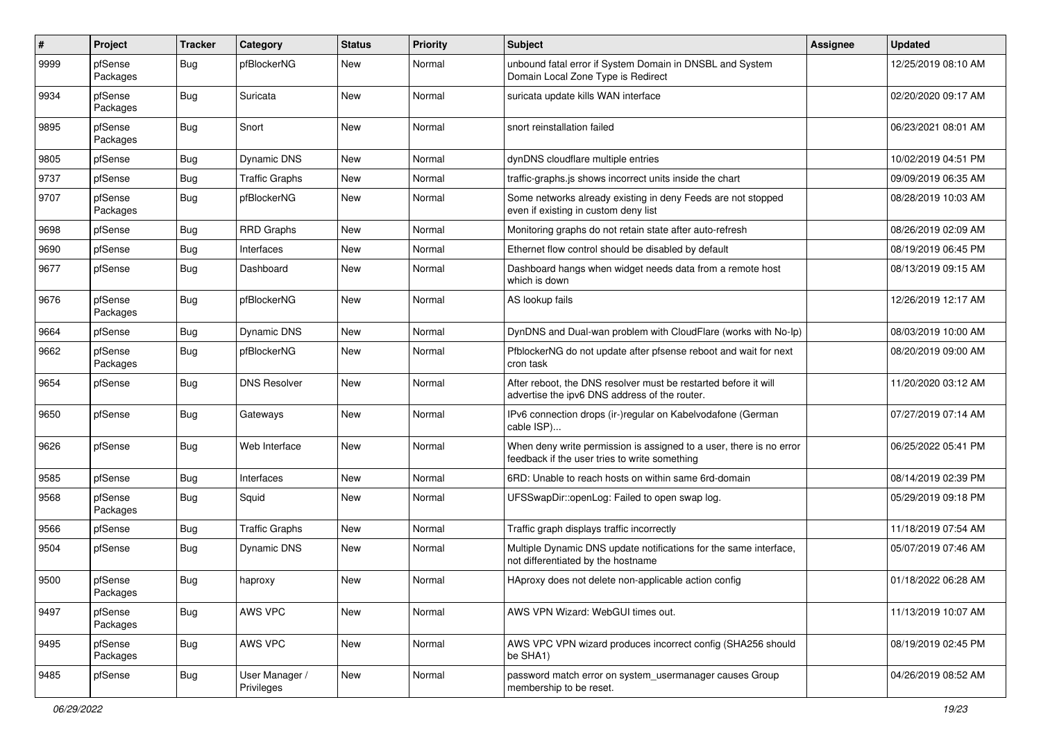| $\sharp$ | Project             | <b>Tracker</b> | Category                     | <b>Status</b> | Priority | <b>Subject</b>                                                                                                       | <b>Assignee</b> | <b>Updated</b>      |
|----------|---------------------|----------------|------------------------------|---------------|----------|----------------------------------------------------------------------------------------------------------------------|-----------------|---------------------|
| 9999     | pfSense<br>Packages | Bug            | pfBlockerNG                  | New           | Normal   | unbound fatal error if System Domain in DNSBL and System<br>Domain Local Zone Type is Redirect                       |                 | 12/25/2019 08:10 AM |
| 9934     | pfSense<br>Packages | <b>Bug</b>     | Suricata                     | New           | Normal   | suricata update kills WAN interface                                                                                  |                 | 02/20/2020 09:17 AM |
| 9895     | pfSense<br>Packages | <b>Bug</b>     | Snort                        | <b>New</b>    | Normal   | snort reinstallation failed                                                                                          |                 | 06/23/2021 08:01 AM |
| 9805     | pfSense             | Bug            | Dynamic DNS                  | <b>New</b>    | Normal   | dynDNS cloudflare multiple entries                                                                                   |                 | 10/02/2019 04:51 PM |
| 9737     | pfSense             | <b>Bug</b>     | <b>Traffic Graphs</b>        | New           | Normal   | traffic-graphs.js shows incorrect units inside the chart                                                             |                 | 09/09/2019 06:35 AM |
| 9707     | pfSense<br>Packages | <b>Bug</b>     | pfBlockerNG                  | <b>New</b>    | Normal   | Some networks already existing in deny Feeds are not stopped<br>even if existing in custom deny list                 |                 | 08/28/2019 10:03 AM |
| 9698     | pfSense             | <b>Bug</b>     | <b>RRD Graphs</b>            | New           | Normal   | Monitoring graphs do not retain state after auto-refresh                                                             |                 | 08/26/2019 02:09 AM |
| 9690     | pfSense             | <b>Bug</b>     | Interfaces                   | New           | Normal   | Ethernet flow control should be disabled by default                                                                  |                 | 08/19/2019 06:45 PM |
| 9677     | pfSense             | <b>Bug</b>     | Dashboard                    | <b>New</b>    | Normal   | Dashboard hangs when widget needs data from a remote host<br>which is down                                           |                 | 08/13/2019 09:15 AM |
| 9676     | pfSense<br>Packages | <b>Bug</b>     | pfBlockerNG                  | New           | Normal   | AS lookup fails                                                                                                      |                 | 12/26/2019 12:17 AM |
| 9664     | pfSense             | Bug            | Dynamic DNS                  | <b>New</b>    | Normal   | DynDNS and Dual-wan problem with CloudFlare (works with No-Ip)                                                       |                 | 08/03/2019 10:00 AM |
| 9662     | pfSense<br>Packages | Bug            | pfBlockerNG                  | New           | Normal   | PfblockerNG do not update after pfsense reboot and wait for next<br>cron task                                        |                 | 08/20/2019 09:00 AM |
| 9654     | pfSense             | Bug            | <b>DNS Resolver</b>          | <b>New</b>    | Normal   | After reboot, the DNS resolver must be restarted before it will<br>advertise the ipv6 DNS address of the router.     |                 | 11/20/2020 03:12 AM |
| 9650     | pfSense             | <b>Bug</b>     | Gateways                     | New           | Normal   | IPv6 connection drops (ir-)regular on Kabelvodafone (German<br>cable ISP)                                            |                 | 07/27/2019 07:14 AM |
| 9626     | pfSense             | <b>Bug</b>     | Web Interface                | <b>New</b>    | Normal   | When deny write permission is assigned to a user, there is no error<br>feedback if the user tries to write something |                 | 06/25/2022 05:41 PM |
| 9585     | pfSense             | <b>Bug</b>     | Interfaces                   | New           | Normal   | 6RD: Unable to reach hosts on within same 6rd-domain                                                                 |                 | 08/14/2019 02:39 PM |
| 9568     | pfSense<br>Packages | <b>Bug</b>     | Squid                        | New           | Normal   | UFSSwapDir::openLog: Failed to open swap log.                                                                        |                 | 05/29/2019 09:18 PM |
| 9566     | pfSense             | <b>Bug</b>     | <b>Traffic Graphs</b>        | <b>New</b>    | Normal   | Traffic graph displays traffic incorrectly                                                                           |                 | 11/18/2019 07:54 AM |
| 9504     | pfSense             | <b>Bug</b>     | Dynamic DNS                  | New           | Normal   | Multiple Dynamic DNS update notifications for the same interface,<br>not differentiated by the hostname              |                 | 05/07/2019 07:46 AM |
| 9500     | pfSense<br>Packages | <b>Bug</b>     | haproxy                      | <b>New</b>    | Normal   | HAproxy does not delete non-applicable action config                                                                 |                 | 01/18/2022 06:28 AM |
| 9497     | pfSense<br>Packages | <b>Bug</b>     | AWS VPC                      | <b>New</b>    | Normal   | AWS VPN Wizard: WebGUI times out.                                                                                    |                 | 11/13/2019 10:07 AM |
| 9495     | pfSense<br>Packages | Bug            | AWS VPC                      | New           | Normal   | AWS VPC VPN wizard produces incorrect config (SHA256 should<br>be SHA1)                                              |                 | 08/19/2019 02:45 PM |
| 9485     | pfSense             | Bug            | User Manager /<br>Privileges | New           | Normal   | password match error on system_usermanager causes Group<br>membership to be reset.                                   |                 | 04/26/2019 08:52 AM |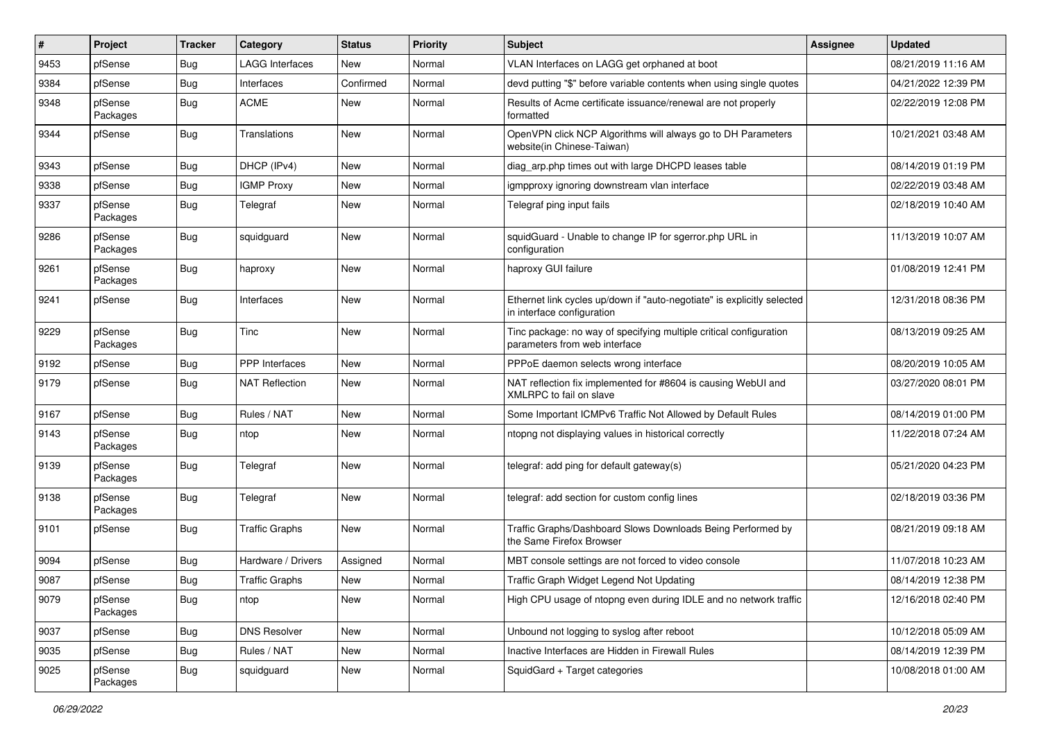| $\vert$ # | Project             | <b>Tracker</b> | Category               | <b>Status</b> | Priority | Subject                                                                                               | <b>Assignee</b> | <b>Updated</b>      |
|-----------|---------------------|----------------|------------------------|---------------|----------|-------------------------------------------------------------------------------------------------------|-----------------|---------------------|
| 9453      | pfSense             | Bug            | <b>LAGG Interfaces</b> | New           | Normal   | VLAN Interfaces on LAGG get orphaned at boot                                                          |                 | 08/21/2019 11:16 AM |
| 9384      | pfSense             | <b>Bug</b>     | Interfaces             | Confirmed     | Normal   | devd putting "\$" before variable contents when using single quotes                                   |                 | 04/21/2022 12:39 PM |
| 9348      | pfSense<br>Packages | <b>Bug</b>     | <b>ACME</b>            | New           | Normal   | Results of Acme certificate issuance/renewal are not properly<br>formatted                            |                 | 02/22/2019 12:08 PM |
| 9344      | pfSense             | <b>Bug</b>     | Translations           | New           | Normal   | OpenVPN click NCP Algorithms will always go to DH Parameters<br>website(in Chinese-Taiwan)            |                 | 10/21/2021 03:48 AM |
| 9343      | pfSense             | <b>Bug</b>     | DHCP (IPv4)            | New           | Normal   | diag_arp.php times out with large DHCPD leases table                                                  |                 | 08/14/2019 01:19 PM |
| 9338      | pfSense             | <b>Bug</b>     | <b>IGMP Proxy</b>      | New           | Normal   | igmpproxy ignoring downstream vlan interface                                                          |                 | 02/22/2019 03:48 AM |
| 9337      | pfSense<br>Packages | <b>Bug</b>     | Telegraf               | New           | Normal   | Telegraf ping input fails                                                                             |                 | 02/18/2019 10:40 AM |
| 9286      | pfSense<br>Packages | <b>Bug</b>     | squidguard             | New           | Normal   | squidGuard - Unable to change IP for sgerror.php URL in<br>configuration                              |                 | 11/13/2019 10:07 AM |
| 9261      | pfSense<br>Packages | <b>Bug</b>     | haproxy                | New           | Normal   | haproxy GUI failure                                                                                   |                 | 01/08/2019 12:41 PM |
| 9241      | pfSense             | <b>Bug</b>     | Interfaces             | New           | Normal   | Ethernet link cycles up/down if "auto-negotiate" is explicitly selected<br>in interface configuration |                 | 12/31/2018 08:36 PM |
| 9229      | pfSense<br>Packages | <b>Bug</b>     | Tinc                   | New           | Normal   | Tinc package: no way of specifying multiple critical configuration<br>parameters from web interface   |                 | 08/13/2019 09:25 AM |
| 9192      | pfSense             | <b>Bug</b>     | <b>PPP</b> Interfaces  | New           | Normal   | PPPoE daemon selects wrong interface                                                                  |                 | 08/20/2019 10:05 AM |
| 9179      | pfSense             | <b>Bug</b>     | <b>NAT Reflection</b>  | New           | Normal   | NAT reflection fix implemented for #8604 is causing WebUI and<br>XMLRPC to fail on slave              |                 | 03/27/2020 08:01 PM |
| 9167      | pfSense             | <b>Bug</b>     | Rules / NAT            | New           | Normal   | Some Important ICMPv6 Traffic Not Allowed by Default Rules                                            |                 | 08/14/2019 01:00 PM |
| 9143      | pfSense<br>Packages | <b>Bug</b>     | ntop                   | New           | Normal   | ntopng not displaying values in historical correctly                                                  |                 | 11/22/2018 07:24 AM |
| 9139      | pfSense<br>Packages | <b>Bug</b>     | Telegraf               | New           | Normal   | telegraf: add ping for default gateway(s)                                                             |                 | 05/21/2020 04:23 PM |
| 9138      | pfSense<br>Packages | <b>Bug</b>     | Telegraf               | New           | Normal   | telegraf: add section for custom config lines                                                         |                 | 02/18/2019 03:36 PM |
| 9101      | pfSense             | <b>Bug</b>     | <b>Traffic Graphs</b>  | New           | Normal   | Traffic Graphs/Dashboard Slows Downloads Being Performed by<br>the Same Firefox Browser               |                 | 08/21/2019 09:18 AM |
| 9094      | pfSense             | Bug            | Hardware / Drivers     | Assigned      | Normal   | MBT console settings are not forced to video console                                                  |                 | 11/07/2018 10:23 AM |
| 9087      | pfSense             | <b>Bug</b>     | <b>Traffic Graphs</b>  | New           | Normal   | Traffic Graph Widget Legend Not Updating                                                              |                 | 08/14/2019 12:38 PM |
| 9079      | pfSense<br>Packages | <b>Bug</b>     | ntop                   | New           | Normal   | High CPU usage of ntopng even during IDLE and no network traffic                                      |                 | 12/16/2018 02:40 PM |
| 9037      | pfSense             | <b>Bug</b>     | <b>DNS Resolver</b>    | New           | Normal   | Unbound not logging to syslog after reboot                                                            |                 | 10/12/2018 05:09 AM |
| 9035      | pfSense             | <b>Bug</b>     | Rules / NAT            | New           | Normal   | Inactive Interfaces are Hidden in Firewall Rules                                                      |                 | 08/14/2019 12:39 PM |
| 9025      | pfSense<br>Packages | <b>Bug</b>     | squidguard             | New           | Normal   | SquidGard + Target categories                                                                         |                 | 10/08/2018 01:00 AM |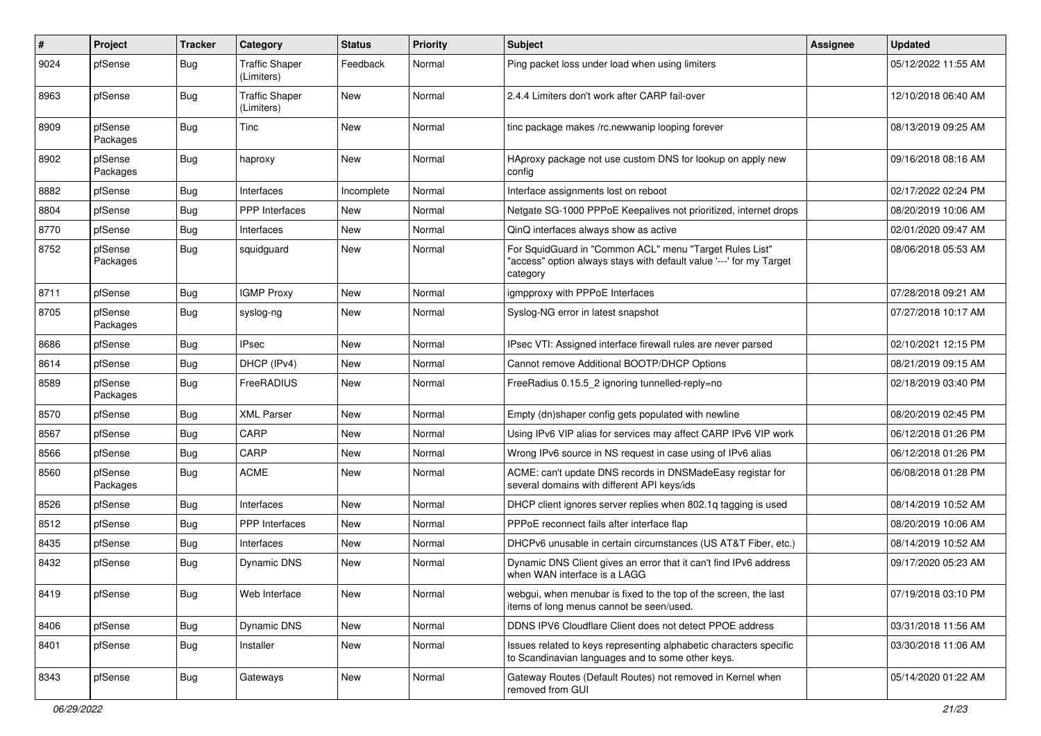| $\sharp$ | Project             | <b>Tracker</b> | Category                            | <b>Status</b> | Priority | <b>Subject</b>                                                                                                                             | <b>Assignee</b> | <b>Updated</b>      |
|----------|---------------------|----------------|-------------------------------------|---------------|----------|--------------------------------------------------------------------------------------------------------------------------------------------|-----------------|---------------------|
| 9024     | pfSense             | <b>Bug</b>     | <b>Traffic Shaper</b><br>(Limiters) | Feedback      | Normal   | Ping packet loss under load when using limiters                                                                                            |                 | 05/12/2022 11:55 AM |
| 8963     | pfSense             | <b>Bug</b>     | <b>Traffic Shaper</b><br>(Limiters) | New           | Normal   | 2.4.4 Limiters don't work after CARP fail-over                                                                                             |                 | 12/10/2018 06:40 AM |
| 8909     | pfSense<br>Packages | <b>Bug</b>     | Tinc                                | <b>New</b>    | Normal   | tinc package makes /rc.newwanip looping forever                                                                                            |                 | 08/13/2019 09:25 AM |
| 8902     | pfSense<br>Packages | <b>Bug</b>     | haproxy                             | New           | Normal   | HAproxy package not use custom DNS for lookup on apply new<br>config                                                                       |                 | 09/16/2018 08:16 AM |
| 8882     | pfSense             | <b>Bug</b>     | Interfaces                          | Incomplete    | Normal   | Interface assignments lost on reboot                                                                                                       |                 | 02/17/2022 02:24 PM |
| 8804     | pfSense             | <b>Bug</b>     | <b>PPP</b> Interfaces               | New           | Normal   | Netgate SG-1000 PPPoE Keepalives not prioritized, internet drops                                                                           |                 | 08/20/2019 10:06 AM |
| 8770     | pfSense             | <b>Bug</b>     | Interfaces                          | New           | Normal   | QinQ interfaces always show as active                                                                                                      |                 | 02/01/2020 09:47 AM |
| 8752     | pfSense<br>Packages | <b>Bug</b>     | squidguard                          | New           | Normal   | For SquidGuard in "Common ACL" menu "Target Rules List"<br>"access" option always stays with default value '---' for my Target<br>category |                 | 08/06/2018 05:53 AM |
| 8711     | pfSense             | <b>Bug</b>     | <b>IGMP Proxy</b>                   | <b>New</b>    | Normal   | igmpproxy with PPPoE Interfaces                                                                                                            |                 | 07/28/2018 09:21 AM |
| 8705     | pfSense<br>Packages | <b>Bug</b>     | syslog-ng                           | <b>New</b>    | Normal   | Syslog-NG error in latest snapshot                                                                                                         |                 | 07/27/2018 10:17 AM |
| 8686     | pfSense             | <b>Bug</b>     | <b>IPsec</b>                        | <b>New</b>    | Normal   | IPsec VTI: Assigned interface firewall rules are never parsed                                                                              |                 | 02/10/2021 12:15 PM |
| 8614     | pfSense             | <b>Bug</b>     | DHCP (IPv4)                         | New           | Normal   | Cannot remove Additional BOOTP/DHCP Options                                                                                                |                 | 08/21/2019 09:15 AM |
| 8589     | pfSense<br>Packages | <b>Bug</b>     | FreeRADIUS                          | New           | Normal   | FreeRadius 0.15.5_2 ignoring tunnelled-reply=no                                                                                            |                 | 02/18/2019 03:40 PM |
| 8570     | pfSense             | <b>Bug</b>     | <b>XML Parser</b>                   | New           | Normal   | Empty (dn)shaper config gets populated with newline                                                                                        |                 | 08/20/2019 02:45 PM |
| 8567     | pfSense             | <b>Bug</b>     | CARP                                | New           | Normal   | Using IPv6 VIP alias for services may affect CARP IPv6 VIP work                                                                            |                 | 06/12/2018 01:26 PM |
| 8566     | pfSense             | <b>Bug</b>     | CARP                                | <b>New</b>    | Normal   | Wrong IPv6 source in NS request in case using of IPv6 alias                                                                                |                 | 06/12/2018 01:26 PM |
| 8560     | pfSense<br>Packages | <b>Bug</b>     | <b>ACME</b>                         | New           | Normal   | ACME: can't update DNS records in DNSMadeEasy registar for<br>several domains with different API keys/ids                                  |                 | 06/08/2018 01:28 PM |
| 8526     | pfSense             | <b>Bug</b>     | Interfaces                          | <b>New</b>    | Normal   | DHCP client ignores server replies when 802.1q tagging is used                                                                             |                 | 08/14/2019 10:52 AM |
| 8512     | pfSense             | <b>Bug</b>     | <b>PPP</b> Interfaces               | New           | Normal   | PPPoE reconnect fails after interface flap                                                                                                 |                 | 08/20/2019 10:06 AM |
| 8435     | pfSense             | <b>Bug</b>     | Interfaces                          | <b>New</b>    | Normal   | DHCPv6 unusable in certain circumstances (US AT&T Fiber, etc.)                                                                             |                 | 08/14/2019 10:52 AM |
| 8432     | pfSense             | <b>Bug</b>     | Dynamic DNS                         | New           | Normal   | Dynamic DNS Client gives an error that it can't find IPv6 address<br>when WAN interface is a LAGG                                          |                 | 09/17/2020 05:23 AM |
| 8419     | pfSense             | <b>Bug</b>     | Web Interface                       | New           | Normal   | webgui, when menubar is fixed to the top of the screen, the last<br>items of long menus cannot be seen/used.                               |                 | 07/19/2018 03:10 PM |
| 8406     | pfSense             | <b>Bug</b>     | Dynamic DNS                         | New           | Normal   | DDNS IPV6 Cloudflare Client does not detect PPOE address                                                                                   |                 | 03/31/2018 11:56 AM |
| 8401     | pfSense             | <b>Bug</b>     | Installer                           | New           | Normal   | Issues related to keys representing alphabetic characters specific<br>to Scandinavian languages and to some other keys.                    |                 | 03/30/2018 11:06 AM |
| 8343     | pfSense             | <b>Bug</b>     | Gateways                            | New           | Normal   | Gateway Routes (Default Routes) not removed in Kernel when<br>removed from GUI                                                             |                 | 05/14/2020 01:22 AM |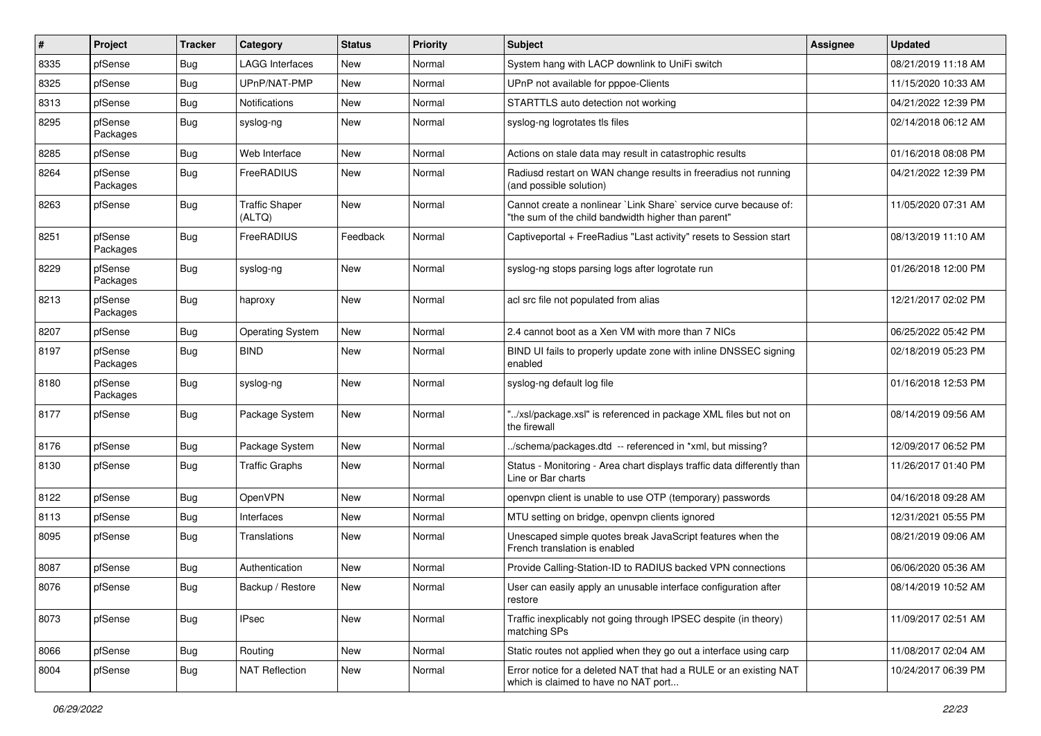| #    | Project             | <b>Tracker</b> | Category                        | <b>Status</b> | Priority | <b>Subject</b>                                                                                                          | <b>Assignee</b> | <b>Updated</b>      |
|------|---------------------|----------------|---------------------------------|---------------|----------|-------------------------------------------------------------------------------------------------------------------------|-----------------|---------------------|
| 8335 | pfSense             | Bug            | LAGG Interfaces                 | New           | Normal   | System hang with LACP downlink to UniFi switch                                                                          |                 | 08/21/2019 11:18 AM |
| 8325 | pfSense             | <b>Bug</b>     | UPnP/NAT-PMP                    | New           | Normal   | UPnP not available for pppoe-Clients                                                                                    |                 | 11/15/2020 10:33 AM |
| 8313 | pfSense             | <b>Bug</b>     | Notifications                   | New           | Normal   | STARTTLS auto detection not working                                                                                     |                 | 04/21/2022 12:39 PM |
| 8295 | pfSense<br>Packages | <b>Bug</b>     | syslog-ng                       | New           | Normal   | syslog-ng logrotates tls files                                                                                          |                 | 02/14/2018 06:12 AM |
| 8285 | pfSense             | Bug            | Web Interface                   | New           | Normal   | Actions on stale data may result in catastrophic results                                                                |                 | 01/16/2018 08:08 PM |
| 8264 | pfSense<br>Packages | Bug            | FreeRADIUS                      | New           | Normal   | Radiusd restart on WAN change results in freeradius not running<br>(and possible solution)                              |                 | 04/21/2022 12:39 PM |
| 8263 | pfSense             | Bug            | <b>Traffic Shaper</b><br>(ALTQ) | New           | Normal   | Cannot create a nonlinear `Link Share` service curve because of:<br>"the sum of the child bandwidth higher than parent" |                 | 11/05/2020 07:31 AM |
| 8251 | pfSense<br>Packages | <b>Bug</b>     | FreeRADIUS                      | Feedback      | Normal   | Captiveportal + FreeRadius "Last activity" resets to Session start                                                      |                 | 08/13/2019 11:10 AM |
| 8229 | pfSense<br>Packages | Bug            | syslog-ng                       | New           | Normal   | syslog-ng stops parsing logs after logrotate run                                                                        |                 | 01/26/2018 12:00 PM |
| 8213 | pfSense<br>Packages | Bug            | haproxy                         | New           | Normal   | acl src file not populated from alias                                                                                   |                 | 12/21/2017 02:02 PM |
| 8207 | pfSense             | Bug            | <b>Operating System</b>         | New           | Normal   | 2.4 cannot boot as a Xen VM with more than 7 NICs                                                                       |                 | 06/25/2022 05:42 PM |
| 8197 | pfSense<br>Packages | Bug            | <b>BIND</b>                     | New           | Normal   | BIND UI fails to properly update zone with inline DNSSEC signing<br>enabled                                             |                 | 02/18/2019 05:23 PM |
| 8180 | pfSense<br>Packages | <b>Bug</b>     | syslog-ng                       | New           | Normal   | syslog-ng default log file                                                                                              |                 | 01/16/2018 12:53 PM |
| 8177 | pfSense             | Bug            | Package System                  | <b>New</b>    | Normal   | "/xsl/package.xsl" is referenced in package XML files but not on<br>the firewall                                        |                 | 08/14/2019 09:56 AM |
| 8176 | pfSense             | Bug            | Package System                  | <b>New</b>    | Normal   | ./schema/packages.dtd -- referenced in *xml, but missing?                                                               |                 | 12/09/2017 06:52 PM |
| 8130 | pfSense             | Bug            | <b>Traffic Graphs</b>           | New           | Normal   | Status - Monitoring - Area chart displays traffic data differently than<br>Line or Bar charts                           |                 | 11/26/2017 01:40 PM |
| 8122 | pfSense             | Bug            | OpenVPN                         | <b>New</b>    | Normal   | openypn client is unable to use OTP (temporary) passwords                                                               |                 | 04/16/2018 09:28 AM |
| 8113 | pfSense             | Bug            | Interfaces                      | New           | Normal   | MTU setting on bridge, openvpn clients ignored                                                                          |                 | 12/31/2021 05:55 PM |
| 8095 | pfSense             | Bug            | Translations                    | New           | Normal   | Unescaped simple quotes break JavaScript features when the<br>French translation is enabled                             |                 | 08/21/2019 09:06 AM |
| 8087 | pfSense             | Bug            | Authentication                  | New           | Normal   | Provide Calling-Station-ID to RADIUS backed VPN connections                                                             |                 | 06/06/2020 05:36 AM |
| 8076 | pfSense             | <b>Bug</b>     | Backup / Restore                | New           | Normal   | User can easily apply an unusable interface configuration after<br>restore                                              |                 | 08/14/2019 10:52 AM |
| 8073 | pfSense             | Bug            | <b>IPsec</b>                    | New           | Normal   | Traffic inexplicably not going through IPSEC despite (in theory)<br>matching SPs                                        |                 | 11/09/2017 02:51 AM |
| 8066 | pfSense             | Bug            | Routing                         | New           | Normal   | Static routes not applied when they go out a interface using carp                                                       |                 | 11/08/2017 02:04 AM |
| 8004 | pfSense             | <b>Bug</b>     | <b>NAT Reflection</b>           | New           | Normal   | Error notice for a deleted NAT that had a RULE or an existing NAT<br>which is claimed to have no NAT port               |                 | 10/24/2017 06:39 PM |